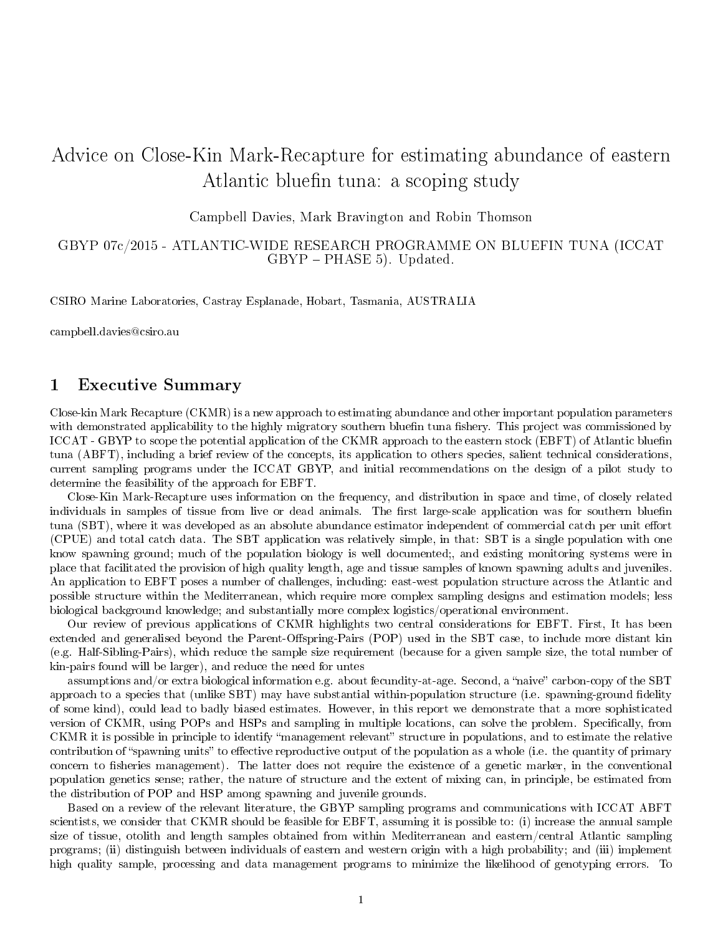# Advice on Close-Kin Mark-Recapture for estimating abundance of eastern Atlantic bluefin tuna: a scoping study

Campbell Davies, Mark Bravington and Robin Thomson

## GBYP 07c/2015 - ATLANTIC-WIDE RESEARCH PROGRAMME ON BLUEFIN TUNA (ICCAT  $GBYP - PHASE 5$ . Updated.

CSIRO Marine Laboratories, Castray Esplanade, Hobart, Tasmania, AUSTRALIA

campbell.davies@csiro.au

# 1 Executive Summary

Close-kin Mark Recapture (CKMR) is a new approach to estimating abundance and other important population parameters with demonstrated applicability to the highly migratory southern bluefin tuna fishery. This project was commissioned by ICCAT - GBYP to scope the potential application of the CKMR approach to the eastern stock (EBFT) of Atlantic bluefin tuna (ABFT), including a brief review of the concepts, its application to others species, salient technical considerations, current sampling programs under the ICCAT GBYP, and initial recommendations on the design of a pilot study to determine the feasibility of the approach for EBFT.

Close-Kin Mark-Recapture uses information on the frequency, and distribution in space and time, of closely related individuals in samples of tissue from live or dead animals. The first large-scale application was for southern bluefin tuna (SBT), where it was developed as an absolute abundance estimator independent of commercial catch per unit effort (CPUE) and total catch data. The SBT application was relatively simple, in that: SBT is a single population with one know spawning ground; much of the population biology is well documented;, and existing monitoring systems were in place that facilitated the provision of high quality length, age and tissue samples of known spawning adults and juveniles. An application to EBFT poses a number of challenges, including: east-west population structure across the Atlantic and possible structure within the Mediterranean, which require more complex sampling designs and estimation models; less biological background knowledge; and substantially more complex logistics/operational environment.

Our review of previous applications of CKMR highlights two central considerations for EBFT. First, It has been extended and generalised beyond the Parent-Offspring-Pairs (POP) used in the SBT case, to include more distant kin (e.g. Half-Sibling-Pairs), which reduce the sample size requirement (because for a given sample size, the total number of kin-pairs found will be larger), and reduce the need for untes

assumptions and/or extra biological information e.g. about fecundity-at-age. Second, a "naive" carbon-copy of the SBT approach to a species that (unlike SBT) may have substantial within-population structure (i.e. spawning-ground fidelity of some kind), could lead to badly biased estimates. However, in this report we demonstrate that a more sophisticated version of CKMR, using POPs and HSPs and sampling in multiple locations, can solve the problem. Specifically, from CKMR it is possible in principle to identify "management relevant" structure in populations, and to estimate the relative contribution of "spawning units" to effective reproductive output of the population as a whole (i.e. the quantity of primary concern to fisheries management). The latter does not require the existence of a genetic marker, in the conventional population genetics sense; rather, the nature of structure and the extent of mixing can, in principle, be estimated from the distribution of POP and HSP among spawning and juvenile grounds.

Based on a review of the relevant literature, the GBYP sampling programs and communications with ICCAT ABFT scientists, we consider that CKMR should be feasible for EBFT, assuming it is possible to: (i) increase the annual sample size of tissue, otolith and length samples obtained from within Mediterranean and eastern/central Atlantic sampling programs; (ii) distinguish between individuals of eastern and western origin with a high probability; and (iii) implement high quality sample, processing and data management programs to minimize the likelihood of genotyping errors. To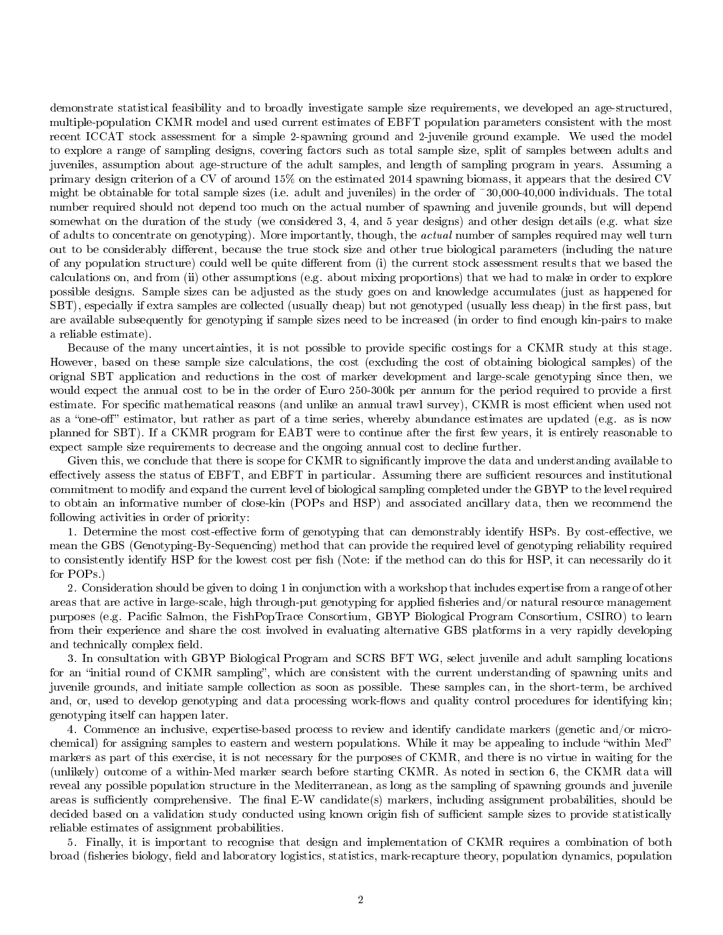demonstrate statistical feasibility and to broadly investigate sample size requirements, we developed an age-structured, multiple-population CKMR model and used current estimates of EBFT population parameters consistent with the most recent ICCAT stock assessment for a simple 2-spawning ground and 2-juvenile ground example. We used the model to explore a range of sampling designs, covering factors such as total sample size, split of samples between adults and juveniles, assumption about age-structure of the adult samples, and length of sampling program in years. Assuming a primary design criterion of a CV of around 15% on the estimated 2014 spawning biomass, it appears that the desired CV might be obtainable for total sample sizes (i.e. adult and juveniles) in the order of  $\tilde{\phantom{a}}30,000-40,000$  individuals. The total number required should not depend too much on the actual number of spawning and juvenile grounds, but will depend somewhat on the duration of the study (we considered 3, 4, and 5 year designs) and other design details (e.g. what size of adults to concentrate on genotyping). More importantly, though, the actual number of samples required may well turn out to be considerably different, because the true stock size and other true biological parameters (including the nature of any population structure) could well be quite different from (i) the current stock assessment results that we based the calculations on, and from (ii) other assumptions (e.g. about mixing proportions) that we had to make in order to explore possible designs. Sample sizes can be adjusted as the study goes on and knowledge accumulates (just as happened for SBT), especially if extra samples are collected (usually cheap) but not genotyped (usually less cheap) in the first pass, but are available subsequently for genotyping if sample sizes need to be increased (in order to find enough kin-pairs to make a reliable estimate).

Because of the many uncertainties, it is not possible to provide specific costings for a CKMR study at this stage. However, based on these sample size calculations, the cost (excluding the cost of obtaining biological samples) of the orignal SBT application and reductions in the cost of marker development and large-scale genotyping since then, we would expect the annual cost to be in the order of Euro 250-300k per annum for the period required to provide a first estimate. For specific mathematical reasons (and unlike an annual trawl survey), CKMR is most efficient when used not as a "one-off" estimator, but rather as part of a time series, whereby abundance estimates are updated (e.g. as is now planned for SBT). If a CKMR program for EABT were to continue after the first few years, it is entirely reasonable to expect sample size requirements to decrease and the ongoing annual cost to decline further.

Given this, we conclude that there is scope for CKMR to significantly improve the data and understanding available to effectively assess the status of EBFT, and EBFT in particular. Assuming there are sufficient resources and institutional commitment to modify and expand the current level of biological sampling completed under the GBYP to the level required to obtain an informative number of close-kin (POPs and HSP) and associated ancillary data, then we recommend the following activities in order of priority:

1. Determine the most cost-effective form of genotyping that can demonstrably identify HSPs. By cost-effective, we mean the GBS (Genotyping-By-Sequencing) method that can provide the required level of genotyping reliability required to consistently identify HSP for the lowest cost per fish (Note: if the method can do this for HSP, it can necessarily do it for POPs.)

2. Consideration should be given to doing 1 in conjunction with a workshop that includes expertise from a range of other areas that are active in large-scale, high through-put genotyping for applied fisheries and/or natural resource management purposes (e.g. Pacific Salmon, the FishPopTrace Consortium, GBYP Biological Program Consortium, CSIRO) to learn from their experience and share the cost involved in evaluating alternative GBS platforms in a very rapidly developing and technically complex field.

3. In consultation with GBYP Biological Program and SCRS BFT WG, select juvenile and adult sampling locations for an "initial round of CKMR sampling", which are consistent with the current understanding of spawning units and juvenile grounds, and initiate sample collection as soon as possible. These samples can, in the short-term, be archived and, or, used to develop genotyping and data processing work-flows and quality control procedures for identifying kin; genotyping itself can happen later.

4. Commence an inclusive, expertise-based process to review and identify candidate markers (genetic and/or microchemical) for assigning samples to eastern and western populations. While it may be appealing to include "within Med" markers as part of this exercise, it is not necessary for the purposes of CKMR, and there is no virtue in waiting for the (unlikely) outcome of a within-Med marker search before starting CKMR. As noted in section 6, the CKMR data will reveal any possible population structure in the Mediterranean, as long as the sampling of spawning grounds and juvenile areas is sufficiently comprehensive. The final E-W candidate(s) markers, including assignment probabilities, should be decided based on a validation study conducted using known origin fish of sufficient sample sizes to provide statistically reliable estimates of assignment probabilities.

5. Finally, it is important to recognise that design and implementation of CKMR requires a combination of both broad (fisheries biology, field and laboratory logistics, statistics, mark-recapture theory, population dynamics, population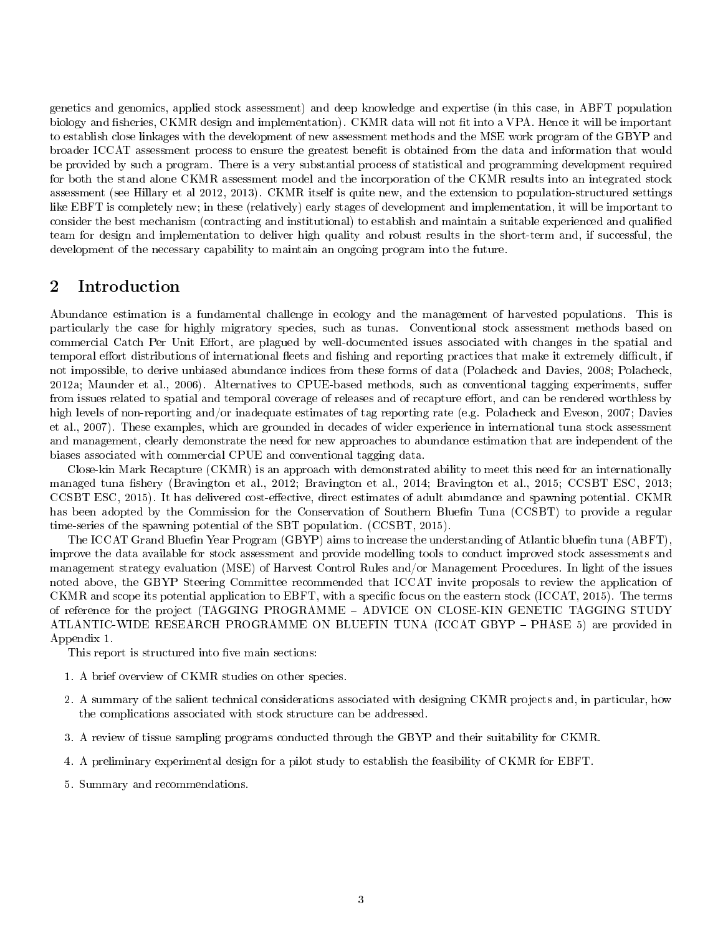genetics and genomics, applied stock assessment) and deep knowledge and expertise (in this case, in ABFT population biology and fisheries, CKMR design and implementation). CKMR data will not fit into a VPA. Hence it will be important to establish close linkages with the development of new assessment methods and the MSE work program of the GBYP and broader ICCAT assessment process to ensure the greatest benefit is obtained from the data and information that would be provided by such a program. There is a very substantial process of statistical and programming development required for both the stand alone CKMR assessment model and the incorporation of the CKMR results into an integrated stock assessment (see Hillary et al 2012, 2013). CKMR itself is quite new, and the extension to population-structured settings like EBFT is completely new; in these (relatively) early stages of development and implementation, it will be important to consider the best mechanism (contracting and institutional) to establish and maintain a suitable experienced and qualied team for design and implementation to deliver high quality and robust results in the short-term and, if successful, the development of the necessary capability to maintain an ongoing program into the future.

# 2 Introduction

Abundance estimation is a fundamental challenge in ecology and the management of harvested populations. This is particularly the case for highly migratory species, such as tunas. Conventional stock assessment methods based on commercial Catch Per Unit Effort, are plagued by well-documented issues associated with changes in the spatial and temporal effort distributions of international fleets and fishing and reporting practices that make it extremely difficult, if not impossible, to derive unbiased abundance indices from these forms of data (Polacheck and Davies, 2008; Polacheck, 2012a; Maunder et al., 2006). Alternatives to CPUE-based methods, such as conventional tagging experiments, suffer from issues related to spatial and temporal coverage of releases and of recapture effort, and can be rendered worthless by high levels of non-reporting and/or inadequate estimates of tag reporting rate (e.g. Polacheck and Eveson, 2007; Davies et al., 2007). These examples, which are grounded in decades of wider experience in international tuna stock assessment and management, clearly demonstrate the need for new approaches to abundance estimation that are independent of the biases associated with commercial CPUE and conventional tagging data.

Close-kin Mark Recapture (CKMR) is an approach with demonstrated ability to meet this need for an internationally managed tuna fishery (Bravington et al., 2012; Bravington et al., 2014; Bravington et al., 2015; CCSBT ESC, 2013; CCSBT ESC, 2015). It has delivered cost-effective, direct estimates of adult abundance and spawning potential. CKMR has been adopted by the Commission for the Conservation of Southern Bluefin Tuna (CCSBT) to provide a regular time-series of the spawning potential of the SBT population. (CCSBT, 2015).

The ICCAT Grand Bluefin Year Program (GBYP) aims to increase the understanding of Atlantic bluefin tuna (ABFT), improve the data available for stock assessment and provide modelling tools to conduct improved stock assessments and management strategy evaluation (MSE) of Harvest Control Rules and/or Management Procedures. In light of the issues noted above, the GBYP Steering Committee recommended that ICCAT invite proposals to review the application of CKMR and scope its potential application to EBFT, with a specific focus on the eastern stock (ICCAT, 2015). The terms of reference for the project (TAGGING PROGRAMME ADVICE ON CLOSE-KIN GENETIC TAGGING STUDY ATLANTIC-WIDE RESEARCH PROGRAMME ON BLUEFIN TUNA (ICCAT GBYP PHASE 5) are provided in Appendix 1.

This report is structured into five main sections:

- 1. A brief overview of CKMR studies on other species.
- 2. A summary of the salient technical considerations associated with designing CKMR projects and, in particular, how the complications associated with stock structure can be addressed.
- 3. A review of tissue sampling programs conducted through the GBYP and their suitability for CKMR.
- 4. A preliminary experimental design for a pilot study to establish the feasibility of CKMR for EBFT.
- 5. Summary and recommendations.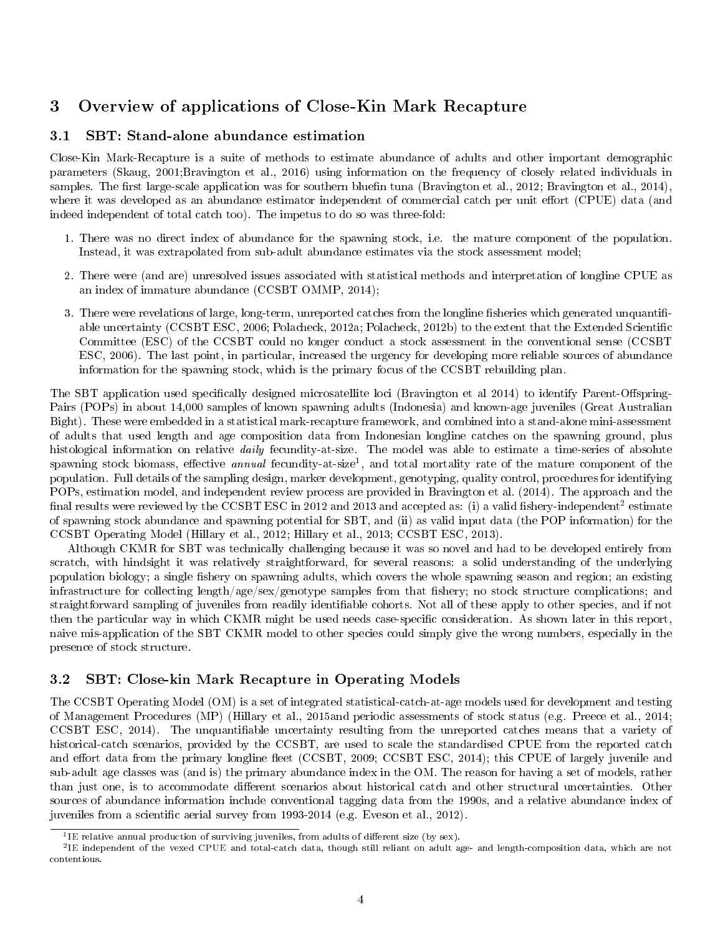# 3 Overview of applications of Close-Kin Mark Recapture

## 3.1 SBT: Stand-alone abundance estimation

Close-Kin Mark-Recapture is a suite of methods to estimate abundance of adults and other important demographic parameters (Skaug, 2001;Bravington et al., 2016) using information on the frequency of closely related individuals in samples. The first large-scale application was for southern bluefin tuna (Bravington et al., 2012; Bravington et al., 2014), where it was developed as an abundance estimator independent of commercial catch per unit effort (CPUE) data (and indeed independent of total catch too). The impetus to do so was three-fold:

- 1. There was no direct index of abundance for the spawning stock, i.e. the mature component of the population. Instead, it was extrapolated from sub-adult abundance estimates via the stock assessment model;
- 2. There were (and are) unresolved issues associated with statistical methods and interpretation of longline CPUE as an index of immature abundance (CCSBT OMMP, 2014);
- 3. There were revelations of large, long-term, unreported catches from the longline fisheries which generated unquantifiable uncertainty (CCSBT ESC, 2006; Polacheck, 2012a; Polacheck, 2012b) to the extent that the Extended Scientific Committee (ESC) of the CCSBT could no longer conduct a stock assessment in the conventional sense (CCSBT ESC, 2006). The last point, in particular, increased the urgency for developing more reliable sources of abundance information for the spawning stock, which is the primary focus of the CCSBT rebuilding plan.

The SBT application used specifically designed microsatellite loci (Bravington et al 2014) to identify Parent-Offspring-Pairs (POPs) in about 14,000 samples of known spawning adults (Indonesia) and known-age juveniles (Great Australian Bight). These were embedded in a statistical mark-recapture framework, and combined into a stand-alone mini-assessment of adults that used length and age composition data from Indonesian longline catches on the spawning ground, plus histological information on relative *daily* fecundity-at-size. The model was able to estimate a time-series of absolute spawning stock biomass, effective *annual* fecundity-at-size<sup>1</sup>, and total mortality rate of the mature component of the population. Full details of the sampling design, marker development, genotyping, quality control, procedures for identifying POPs, estimation model, and independent review process are provided in Bravington et al. (2014). The approach and the final results were reviewed by the CCSBT ESC in 2012 and 2013 and accepted as: (i) a valid fishery-independent<sup>2</sup> estimate of spawning stock abundance and spawning potential for SBT, and (ii) as valid input data (the POP information) for the CCSBT Operating Model (Hillary et al., 2012; Hillary et al., 2013; CCSBT ESC, 2013).

Although CKMR for SBT was technically challenging because it was so novel and had to be developed entirely from scratch, with hindsight it was relatively straightforward, for several reasons: a solid understanding of the underlying population biology; a single fishery on spawning adults, which covers the whole spawning season and region; an existing infrastructure for collecting length/age/sex/genotype samples from that fishery; no stock structure complications; and straightforward sampling of juveniles from readily identiable cohorts. Not all of these apply to other species, and if not then the particular way in which CKMR might be used needs case-specific consideration. As shown later in this report, naive mis-application of the SBT CKMR model to other species could simply give the wrong numbers, especially in the presence of stock structure.

## 3.2 SBT: Close-kin Mark Recapture in Operating Models

The CCSBT Operating Model (OM) is a set of integrated statistical-catch-at-age models used for development and testing of Management Procedures (MP) (Hillary et al., 2015and periodic assessments of stock status (e.g. Preece et al., 2014; CCSBT ESC, 2014). The unquantiable uncertainty resulting from the unreported catches means that a variety of historical-catch scenarios, provided by the CCSBT, are used to scale the standardised CPUE from the reported catch and effort data from the primary longline fleet (CCSBT, 2009; CCSBT ESC, 2014); this CPUE of largely juvenile and sub-adult age classes was (and is) the primary abundance index in the OM. The reason for having a set of models, rather than just one, is to accommodate different scenarios about historical catch and other structural uncertainties. Other sources of abundance information include conventional tagging data from the 1990s, and a relative abundance index of juveniles from a scientific aerial survey from 1993-2014 (e.g. Eveson et al., 2012).

 $11E$  relative annual production of surviving juveniles, from adults of different size (by sex).

<sup>&</sup>lt;sup>2</sup>IE independent of the vexed CPUE and total-catch data, though still reliant on adult age- and length-composition data, which are not contentious.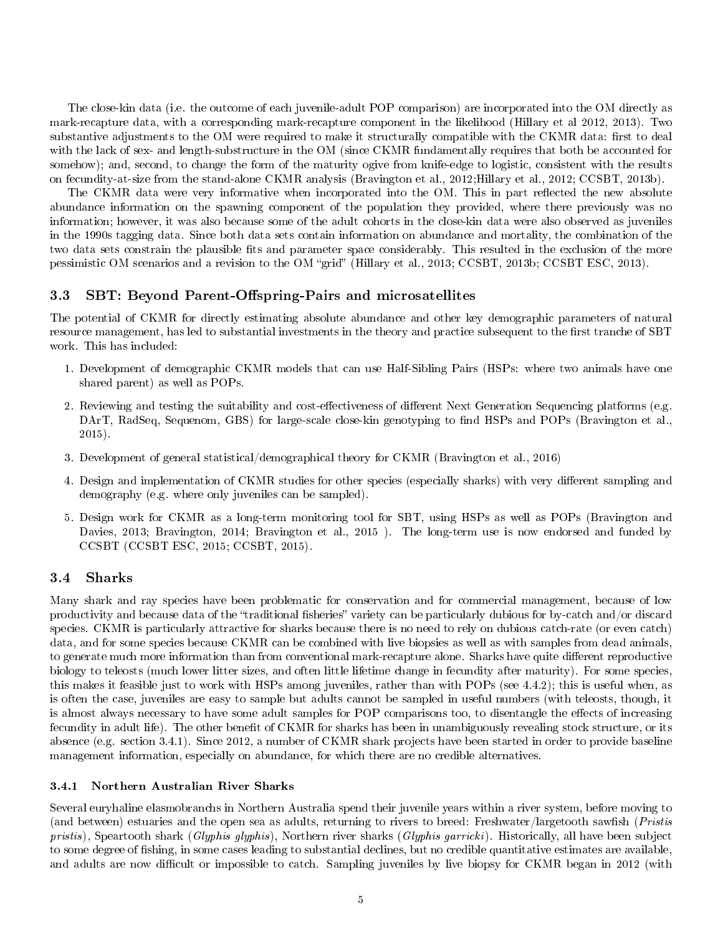The close-kin data (i.e. the outcome of each juvenile-adult POP comparison) are incorporated into the OM directly as mark-recapture data, with a corresponding mark-recapture component in the likelihood (Hillary et al 2012, 2013). Two substantive adjustments to the OM were required to make it structurally compatible with the CKMR data: first to deal with the lack of sex- and length-substructure in the OM (since CKMR fundamentally requires that both be accounted for somehow); and, second, to change the form of the maturity ogive from knife-edge to logistic, consistent with the results on fecundity-at-size from the stand-alone CKMR analysis (Bravington et al., 2012;Hillary et al., 2012; CCSBT, 2013b).

The CKMR data were very informative when incorporated into the OM. This in part reflected the new absolute abundance information on the spawning component of the population they provided, where there previously was no information; however, it was also because some of the adult cohorts in the close-kin data were also observed as juveniles in the 1990s tagging data. Since both data sets contain information on abundance and mortality, the combination of the two data sets constrain the plausible fits and parameter space considerably. This resulted in the exclusion of the more pessimistic OM scenarios and a revision to the OM "grid" (Hillary et al., 2013; CCSBT, 2013b; CCSBT ESC, 2013).

#### 3.3 SBT: Beyond Parent-Offspring-Pairs and microsatellites

The potential of CKMR for directly estimating absolute abundance and other key demographic parameters of natural resource management, has led to substantial investments in the theory and practice subsequent to the first tranche of SBT work. This has included:

- 1. Development of demographic CKMR models that can use Half-Sibling Pairs (HSPs: where two animals have one shared parent) as well as POPs.
- 2. Reviewing and testing the suitability and cost-effectiveness of different Next Generation Sequencing platforms (e.g. DArT, RadSeq, Sequenom, GBS) for large-scale close-kin genotyping to find HSPs and POPs (Bravington et al., 2015).
- 3. Development of general statistical/demographical theory for CKMR (Bravington et al., 2016)
- 4. Design and implementation of CKMR studies for other species (especially sharks) with very different sampling and demography (e.g. where only juveniles can be sampled).
- 5. Design work for CKMR as a long-term monitoring tool for SBT, using HSPs as well as POPs (Bravington and Davies, 2013; Bravington, 2014; Bravington et al., 2015 ). The long-term use is now endorsed and funded by CCSBT (CCSBT ESC, 2015; CCSBT, 2015).

#### 3.4 Sharks

Many shark and ray species have been problematic for conservation and for commercial management, because of low productivity and because data of the "traditional fisheries" variety can be particularly dubious for by-catch and/or discard species. CKMR is particularly attractive for sharks because there is no need to rely on dubious catch-rate (or even catch) data, and for some species because CKMR can be combined with live biopsies as well as with samples from dead animals, to generate much more information than from conventional mark-recapture alone. Sharks have quite different reproductive biology to teleosts (much lower litter sizes, and often little lifetime change in fecundity after maturity). For some species, this makes it feasible just to work with HSPs among juveniles, rather than with POPs (see 4.4.2); this is useful when, as is often the case, juveniles are easy to sample but adults cannot be sampled in useful numbers (with teleosts, though, it is almost always necessary to have some adult samples for POP comparisons too, to disentangle the effects of increasing fecundity in adult life). The other benefit of CKMR for sharks has been in unambiguously revealing stock structure, or its absence (e.g. section 3.4.1). Since 2012, a number of CKMR shark projects have been started in order to provide baseline management information, especially on abundance, for which there are no credible alternatives.

#### 3.4.1 Northern Australian River Sharks

Several euryhaline elasmobranchs in Northern Australia spend their juvenile years within a river system, before moving to (and between) estuaries and the open sea as adults, returning to rivers to breed: Freshwater/largetooth sawfish (*Pristis*) pristis), Speartooth shark (Glyphis glyphis), Northern river sharks (Glyphis garricki). Historically, all have been subject to some degree of fishing, in some cases leading to substantial declines, but no credible quantitative estimates are available, and adults are now difficult or impossible to catch. Sampling juveniles by live biopsy for CKMR began in 2012 (with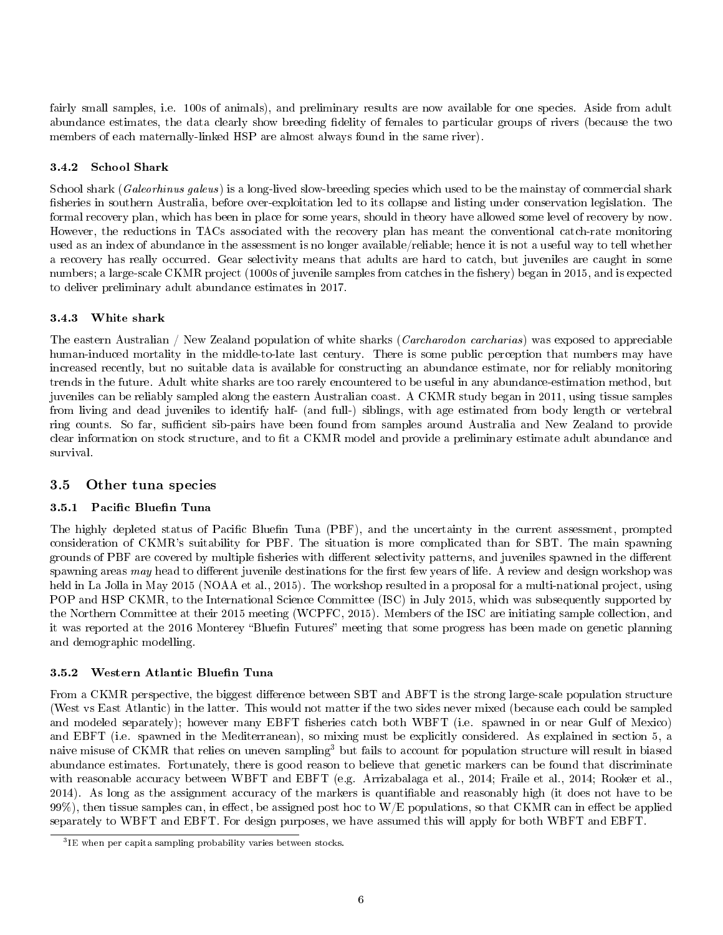fairly small samples, i.e. 100s of animals), and preliminary results are now available for one species. Aside from adult abundance estimates, the data clearly show breeding fidelity of females to particular groups of rivers (because the two members of each maternally-linked HSP are almost always found in the same river).

### 3.4.2 School Shark

School shark (Galeorhinus galeus) is a long-lived slow-breeding species which used to be the mainstay of commercial shark fisheries in southern Australia, before over-exploitation led to its collapse and listing under conservation legislation. The formal recovery plan, which has been in place for some years, should in theory have allowed some level of recovery by now. However, the reductions in TACs associated with the recovery plan has meant the conventional catch-rate monitoring used as an index of abundance in the assessment is no longer available/reliable; hence it is not a useful way to tell whether a recovery has really occurred. Gear selectivity means that adults are hard to catch, but juveniles are caught in some numbers; a large-scale CKMR project (1000s of juvenile samples from catches in the fishery) began in 2015, and is expected to deliver preliminary adult abundance estimates in 2017.

## 3.4.3 White shark

The eastern Australian / New Zealand population of white sharks (*Carcharodon carcharias*) was exposed to appreciable human-induced mortality in the middle-to-late last century. There is some public perception that numbers may have increased recently, but no suitable data is available for constructing an abundance estimate, nor for reliably monitoring trends in the future. Adult white sharks are too rarely encountered to be useful in any abundance-estimation method, but juveniles can be reliably sampled along the eastern Australian coast. A CKMR study began in 2011, using tissue samples from living and dead juveniles to identify half- (and full-) siblings, with age estimated from body length or vertebral ring counts. So far, sufficient sib-pairs have been found from samples around Australia and New Zealand to provide clear information on stock structure, and to fit a CKMR model and provide a preliminary estimate adult abundance and survival.

## 3.5 Other tuna species

## 3.5.1 Pacific Bluefin Tuna

The highly depleted status of Pacific Bluefin Tuna (PBF), and the uncertainty in the current assessment, prompted consideration of CKMR's suitability for PBF. The situation is more complicated than for SBT. The main spawning grounds of PBF are covered by multiple fisheries with different selectivity patterns, and juveniles spawned in the different spawning areas  $may$  head to different juvenile destinations for the first few years of life. A review and design workshop was held in La Jolla in May 2015 (NOAA et al., 2015). The workshop resulted in a proposal for a multi-national project, using POP and HSP CKMR, to the International Science Committee (ISC) in July 2015, which was subsequently supported by the Northern Committee at their 2015 meeting (WCPFC, 2015). Members of the ISC are initiating sample collection, and it was reported at the 2016 Monterey "Bluefin Futures" meeting that some progress has been made on genetic planning and demographic modelling.

### 3.5.2 Western Atlantic Bluefin Tuna

From a CKMR perspective, the biggest difference between SBT and ABFT is the strong large-scale population structure (West vs East Atlantic) in the latter. This would not matter if the two sides never mixed (because each could be sampled and modeled separately); however many EBFT fisheries catch both WBFT (i.e. spawned in or near Gulf of Mexico) and EBFT (i.e. spawned in the Mediterranean), so mixing must be explicitly considered. As explained in section 5, a naive misuse of CKMR that relies on uneven sampling<sup>3</sup> but fails to account for population structure will result in biased abundance estimates. Fortunately, there is good reason to believe that genetic markers can be found that discriminate with reasonable accuracy between WBFT and EBFT (e.g. Arrizabalaga et al., 2014; Fraile et al., 2014; Rooker et al., 2014). As long as the assignment accuracy of the markers is quantifiable and reasonably high (it does not have to be 99%), then tissue samples can, in effect, be assigned post hoc to  $W/E$  populations, so that CKMR can in effect be applied separately to WBFT and EBFT. For design purposes, we have assumed this will apply for both WBFT and EBFT.

<sup>3</sup> IE when per capita sampling probability varies between stocks.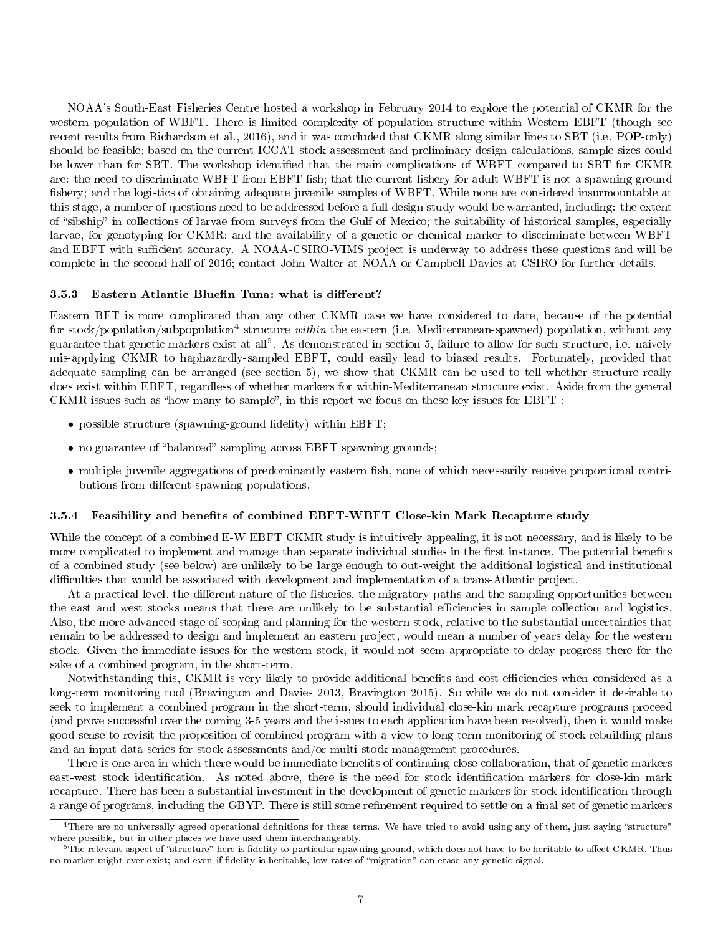NOAA's South-East Fisheries Centre hosted a workshop in February 2014 to explore the potential of CKMR for the western population of WBFT. There is limited complexity of population structure within Western EBFT (though see recent results from Richardson et al., 2016), and it was concluded that CKMR along similar lines to SBT (i.e. POP-only) should be feasible; based on the current ICCAT stock assessment and preliminary design calculations, sample sizes could be lower than for SBT. The workshop identified that the main complications of WBFT compared to SBT for CKMR are: the need to discriminate WBFT from EBFT fish; that the current fishery for adult WBFT is not a spawning-ground fishery; and the logistics of obtaining adequate juvenile samples of WBFT. While none are considered insurmountable at this stage, a number of questions need to be addressed before a full design study would be warranted, including: the extent of sibship in collections of larvae from surveys from the Gulf of Mexico; the suitability of historical samples, especially larvae, for genotyping for CKMR; and the availability of a genetic or chemical marker to discriminate between WBFT and EBFT with sufficient accuracy. A NOAA-CSIRO-VIMS project is underway to address these questions and will be complete in the second half of 2016; contact John Walter at NOAA or Campbell Davies at CSIRO for further details.

#### 3.5.3 Eastern Atlantic Bluefin Tuna: what is different?

Eastern BFT is more complicated than any other CKMR case we have considered to date, because of the potential for stock/population/subpopulation<sup>4</sup> structure within the eastern (i.e. Mediterranean-spawned) population, without any guarantee that genetic markers exist at all<sup>5</sup>. As demonstrated in section 5, failure to allow for such structure, i.e. naively mis-applying CKMR to haphazardly-sampled EBFT, could easily lead to biased results. Fortunately, provided that adequate sampling can be arranged (see section 5), we show that CKMR can be used to tell whether structure really does exist within EBFT, regardless of whether markers for within-Mediterranean structure exist. Aside from the general CKMR issues such as "how many to sample", in this report we focus on these key issues for  $EBFT$ :

- possible structure (spawning-ground fidelity) within EBFT;
- no guarantee of "balanced" sampling across EBFT spawning grounds;
- multiple juvenile aggregations of predominantly eastern fish, none of which necessarily receive proportional contributions from different spawning populations.

#### 3.5.4 Feasibility and benefits of combined EBFT-WBFT Close-kin Mark Recapture study

While the concept of a combined E-W EBFT CKMR study is intuitively appealing, it is not necessary, and is likely to be more complicated to implement and manage than separate individual studies in the first instance. The potential benefits of a combined study (see below) are unlikely to be large enough to out-weight the additional logistical and institutional difficulties that would be associated with development and implementation of a trans-Atlantic project.

At a practical level, the different nature of the fisheries, the migratory paths and the sampling opportunities between the east and west stocks means that there are unlikely to be substantial efficiencies in sample collection and logistics. Also, the more advanced stage of scoping and planning for the western stock, relative to the substantial uncertainties that remain to be addressed to design and implement an eastern project, would mean a number of years delay for the western stock. Given the immediate issues for the western stock, it would not seem appropriate to delay progress there for the sake of a combined program, in the short-term.

Notwithstanding this, CKMR is very likely to provide additional benefits and cost-efficiencies when considered as a long-term monitoring tool (Bravington and Davies 2013, Bravington 2015). So while we do not consider it desirable to seek to implement a combined program in the short-term, should individual close-kin mark recapture programs proceed (and prove successful over the coming 3-5 years and the issues to each application have been resolved), then it would make good sense to revisit the proposition of combined program with a view to long-term monitoring of stock rebuilding plans and an input data series for stock assessments and/or multi-stock management procedures.

There is one area in which there would be immediate benefits of continuing close collaboration, that of genetic markers east-west stock identification. As noted above, there is the need for stock identification markers for close-kin mark recapture. There has been a substantial investment in the development of genetic markers for stock identification through a range of programs, including the GBYP. There is still some refinement required to settle on a final set of genetic markers

<sup>&</sup>lt;sup>4</sup>There are no universally agreed operational definitions for these terms. We have tried to avoid using any of them, just saying "structure" where possible, but in other places we have used them interchangeably.

 $5$ The relevant aspect of "structure" here is fidelity to particular spawning ground, which does not have to be heritable to affect CKMR. Thus no marker might ever exist; and even if fidelity is heritable, low rates of "migration" can erase any genetic signal.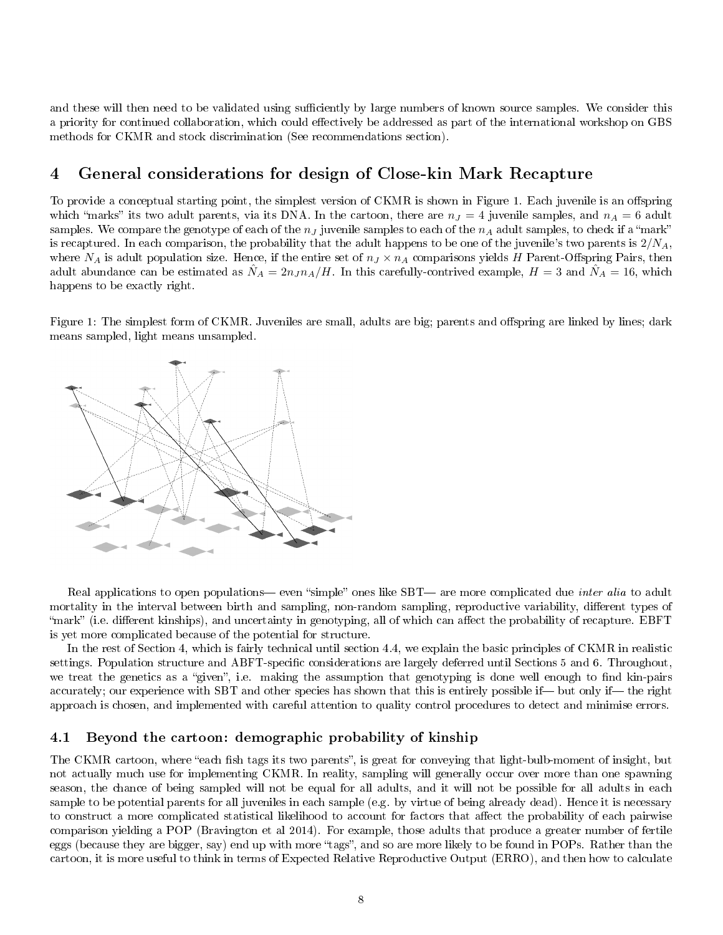and these will then need to be validated using sufficiently by large numbers of known source samples. We consider this a priority for continued collaboration, which could effectively be addressed as part of the international workshop on GBS methods for CKMR and stock discrimination (See recommendations section).

# 4 General considerations for design of Close-kin Mark Recapture

To provide a conceptual starting point, the simplest version of CKMR is shown in Figure 1. Each juvenile is an offspring which "marks" its two adult parents, via its DNA. In the cartoon, there are  $n_J = 4$  juvenile samples, and  $n_A = 6$  adult samples. We compare the genotype of each of the  $n<sub>J</sub>$  juvenile samples to each of the  $n<sub>A</sub>$  adult samples, to check if a "mark" is recaptured. In each comparison, the probability that the adult happens to be one of the juvenile's two parents is  $2/N_A$ , where  $N_A$  is adult population size. Hence, if the entire set of  $n_J \times n_A$  comparisons yields H Parent-Offspring Pairs, then adult abundance can be estimated as  $\hat{N}_A = 2n_J n_A/H$ . In this carefully-contrived example,  $H = 3$  and  $\hat{N}_A = 16$ , which happens to be exactly right.

Figure 1: The simplest form of CKMR. Juveniles are small, adults are big; parents and offspring are linked by lines; dark means sampled, light means unsampled.



Real applications to open populations— even "simple" ones like SBT— are more complicated due *inter alia* to adult mortality in the interval between birth and sampling, non-random sampling, reproductive variability, different types of "mark" (i.e. different kinships), and uncertainty in genotyping, all of which can affect the probability of recapture. EBFT is yet more complicated because of the potential for structure.

In the rest of Section 4, which is fairly technical until section 4.4, we explain the basic principles of CKMR in realistic settings. Population structure and ABFT-specific considerations are largely deferred until Sections 5 and 6. Throughout, we treat the genetics as a "given", i.e. making the assumption that genotyping is done well enough to find kin-pairs accurately; our experience with SBT and other species has shown that this is entirely possible if— but only if— the right approach is chosen, and implemented with careful attention to quality control procedures to detect and minimise errors.

### 4.1 Beyond the cartoon: demographic probability of kinship

The CKMR cartoon, where "each fish tags its two parents", is great for conveying that light-bulb-moment of insight, but not actually much use for implementing CKMR. In reality, sampling will generally occur over more than one spawning season, the chance of being sampled will not be equal for all adults, and it will not be possible for all adults in each sample to be potential parents for all juveniles in each sample (e.g. by virtue of being already dead). Hence it is necessary to construct a more complicated statistical likelihood to account for factors that affect the probability of each pairwise comparison yielding a POP (Bravington et al 2014). For example, those adults that produce a greater number of fertile eggs (because they are bigger, say) end up with more "tags", and so are more likely to be found in POPs. Rather than the cartoon, it is more useful to think in terms of Expected Relative Reproductive Output (ERRO), and then how to calculate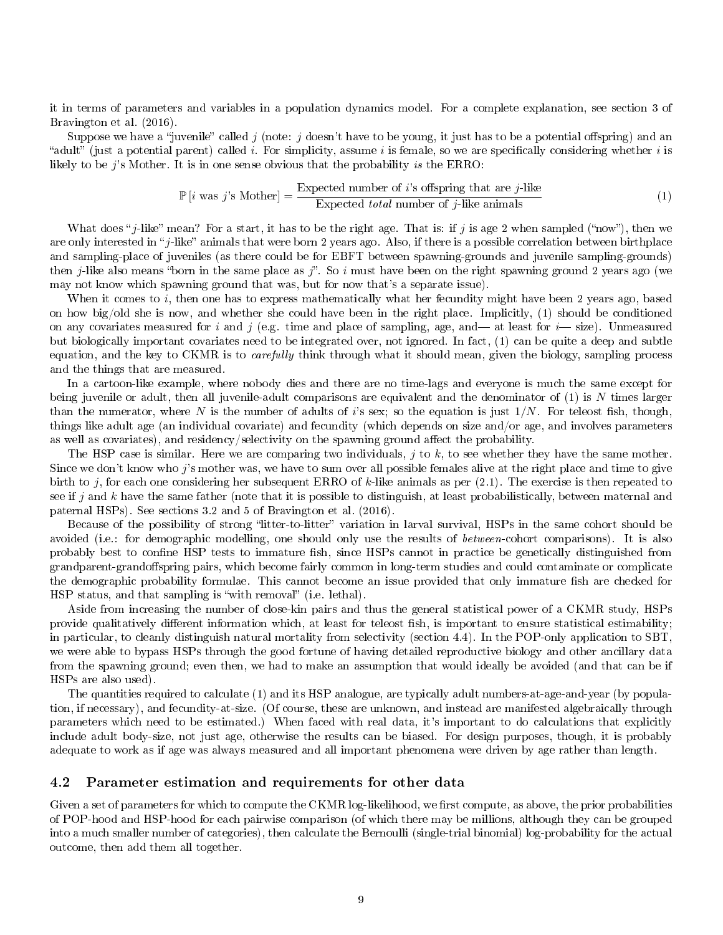it in terms of parameters and variables in a population dynamics model. For a complete explanation, see section 3 of Bravington et al. (2016).

Suppose we have a "juvenile" called j (note: j doesn't have to be young, it just has to be a potential offspring) and an "adult" (just a potential parent) called i. For simplicity, assume i is female, so we are specifically considering whether i is likely to be  $j$ 's Mother. It is in one sense obvious that the probability is the ERRO:

$$
\mathbb{P}\left[i\text{ was }j\text{'s Mother}\right] = \frac{\text{Expected number of }i\text{'s offspring that are }j\text{-like}}{\text{Expected total number of }j\text{-like animals}}\tag{1}
$$

What does "j-like" mean? For a start, it has to be the right age. That is: if j is age 2 when sampled ("now"), then we are only interested in "j-like" animals that were born 2 years ago. Also, if there is a possible correlation between birthplace and sampling-place of juveniles (as there could be for EBFT between spawning-grounds and juvenile sampling-grounds) then *j*-like also means "born in the same place as j". So i must have been on the right spawning ground 2 years ago (we may not know which spawning ground that was, but for now that's a separate issue).

When it comes to i, then one has to express mathematically what her fecundity might have been 2 years ago, based on how big/old she is now, and whether she could have been in the right place. Implicitly, (1) should be conditioned on any covariates measured for i and j (e.g. time and place of sampling, age, and — at least for  $i$ — size). Unmeasured but biologically important covariates need to be integrated over, not ignored. In fact, (1) can be quite a deep and subtle equation, and the key to CKMR is to *carefully* think through what it should mean, given the biology, sampling process and the things that are measured.

In a cartoon-like example, where nobody dies and there are no time-lags and everyone is much the same except for being juvenile or adult, then all juvenile-adult comparisons are equivalent and the denominator of  $(1)$  is N times larger than the numerator, where N is the number of adults of i's sex; so the equation is just  $1/N$ . For teleost fish, though, things like adult age (an individual covariate) and fecundity (which depends on size and/or age, and involves parameters as well as covariates), and residency/selectivity on the spawning ground affect the probability.

The HSP case is similar. Here we are comparing two individuals,  $j$  to  $k$ , to see whether they have the same mother. Since we don't know who j's mother was, we have to sum over all possible females alive at the right place and time to give birth to j, for each one considering her subsequent ERRO of k-like animals as per  $(2.1)$ . The exercise is then repeated to see if j and k have the same father (note that it is possible to distinguish, at least probabilistically, between maternal and paternal HSPs). See sections 3.2 and 5 of Bravington et al. (2016).

Because of the possibility of strong "litter-to-litter" variation in larval survival, HSPs in the same cohort should be avoided (i.e.: for demographic modelling, one should only use the results of *between*-cohort comparisons). It is also probably best to confine HSP tests to immature fish, since HSPs cannot in practice be genetically distinguished from grandparent-grandoffspring pairs, which become fairly common in long-term studies and could contaminate or complicate the demographic probability formulae. This cannot become an issue provided that only immature fish are checked for HSP status, and that sampling is "with removal" (i.e. lethal).

Aside from increasing the number of close-kin pairs and thus the general statistical power of a CKMR study, HSPs provide qualitatively different information which, at least for teleost fish, is important to ensure statistical estimability; in particular, to cleanly distinguish natural mortality from selectivity (section 4.4). In the POP-only application to SBT, we were able to bypass HSPs through the good fortune of having detailed reproductive biology and other ancillary data from the spawning ground; even then, we had to make an assumption that would ideally be avoided (and that can be if HSPs are also used).

The quantities required to calculate (1) and its HSP analogue, are typically adult numbers-at-age-and-year (by population, if necessary), and fecundity-at-size. (Of course, these are unknown, and instead are manifested algebraically through parameters which need to be estimated.) When faced with real data, it's important to do calculations that explicitly include adult body-size, not just age, otherwise the results can be biased. For design purposes, though, it is probably adequate to work as if age was always measured and all important phenomena were driven by age rather than length.

#### 4.2 Parameter estimation and requirements for other data

Given a set of parameters for which to compute the CKMR log-likelihood, we first compute, as above, the prior probabilities of POP-hood and HSP-hood for each pairwise comparison (of which there may be millions, although they can be grouped into a much smaller number of categories), then calculate the Bernoulli (single-trial binomial) log-probability for the actual outcome, then add them all together.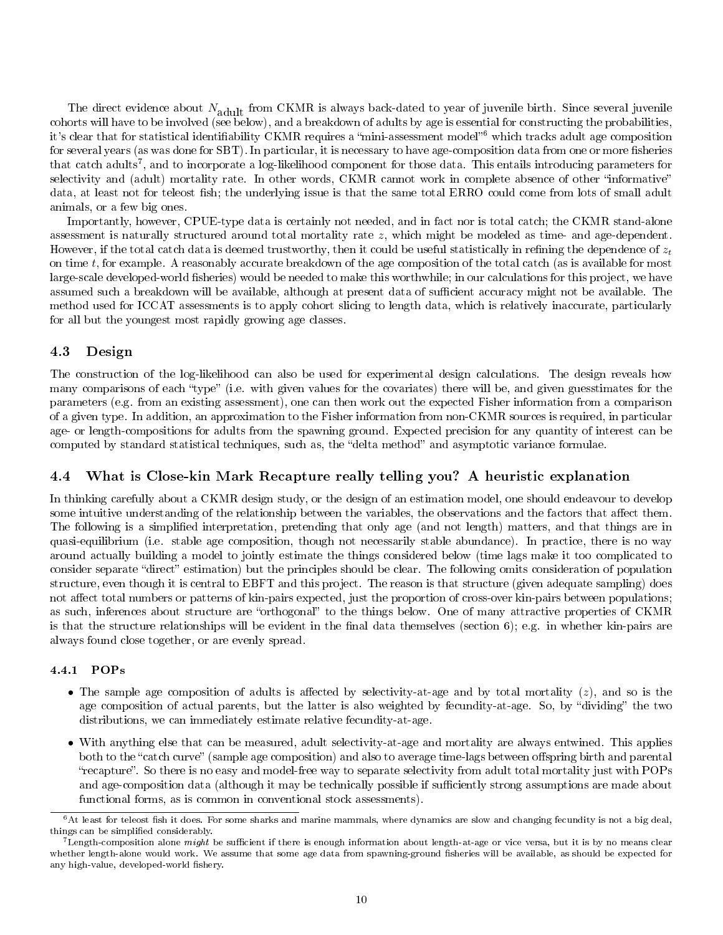The direct evidence about  $N_{\rm adult}$  from CKMR is always back-dated to year of juvenile birth. Since several juvenile cohorts will have to be involved (see below), and a breakdown of adults by age is essential for constructing the probabilities, it's clear that for statistical identifiability CKMR requires a "mini-assessment model"<sup>6</sup> which tracks adult age composition for several years (as was done for SBT). In particular, it is necessary to have age-composition data from one or more fisheries that catch adults<sup>7</sup>, and to incorporate a log-likelihood component for those data. This entails introducing parameters for selectivity and (adult) mortality rate. In other words, CKMR cannot work in complete absence of other "informative" data, at least not for teleost fish; the underlying issue is that the same total ERRO could come from lots of small adult animals, or a few big ones.

Importantly, however, CPUE-type data is certainly not needed, and in fact nor is total catch; the CKMR stand-alone assessment is naturally structured around total mortality rate  $z$ , which might be modeled as time- and age-dependent. However, if the total catch data is deemed trustworthy, then it could be useful statistically in refining the dependence of  $z_t$ on time t, for example. A reasonably accurate breakdown of the age composition of the total catch (as is available for most large-scale developed-world fisheries) would be needed to make this worthwhile; in our calculations for this project, we have assumed such a breakdown will be available, although at present data of sufficient accuracy might not be available. The method used for ICCAT assessments is to apply cohort slicing to length data, which is relatively inaccurate, particularly for all but the youngest most rapidly growing age classes.

### 4.3 Design

The construction of the log-likelihood can also be used for experimental design calculations. The design reveals how many comparisons of each "type" (i.e. with given values for the covariates) there will be, and given guesstimates for the parameters (e.g. from an existing assessment), one can then work out the expected Fisher information from a comparison of a given type. In addition, an approximation to the Fisher information from non-CKMR sources is required, in particular age- or length-compositions for adults from the spawning ground. Expected precision for any quantity of interest can be computed by standard statistical techniques, such as, the "delta method" and asymptotic variance formulae.

### 4.4 What is Close-kin Mark Recapture really telling you? A heuristic explanation

In thinking carefully about a CKMR design study, or the design of an estimation model, one should endeavour to develop some intuitive understanding of the relationship between the variables, the observations and the factors that affect them. The following is a simplied interpretation, pretending that only age (and not length) matters, and that things are in quasi-equilibrium (i.e. stable age composition, though not necessarily stable abundance). In practice, there is no way around actually building a model to jointly estimate the things considered below (time lags make it too complicated to consider separate "direct" estimation) but the principles should be clear. The following omits consideration of population structure, even though it is central to EBFT and this project. The reason is that structure (given adequate sampling) does not affect total numbers or patterns of kin-pairs expected, just the proportion of cross-over kin-pairs between populations; as such, inferences about structure are "orthogonal" to the things below. One of many attractive properties of CKMR is that the structure relationships will be evident in the final data themselves (section 6); e.g. in whether kin-pairs are always found close together, or are evenly spread.

#### 4.4.1 POPs

- The sample age composition of adults is affected by selectivity-at-age and by total mortality  $(z)$ , and so is the age composition of actual parents, but the latter is also weighted by fecundity-at-age. So, by "dividing" the two distributions, we can immediately estimate relative fecundity-at-age.
- With anything else that can be measured, adult selectivity-at-age and mortality are always entwined. This applies both to the "catch curve" (sample age composition) and also to average time-lags between offspring birth and parental recapture. So there is no easy and model-free way to separate selectivity from adult total mortality just with POPs and age-composition data (although it may be technically possible if sufficiently strong assumptions are made about functional forms, as is common in conventional stock assessments).

 $6$ At least for teleost fish it does. For some sharks and marine mammals, where dynamics are slow and changing fecundity is not a big deal, things can be simplified considerably.

 $^{7}$ Length-composition alone *might* be sufficient if there is enough information about length-at-age or vice versa, but it is by no means clear whether length-alone would work. We assume that some age data from spawning-ground fisheries will be available, as should be expected for any high-value, developed-world fishery.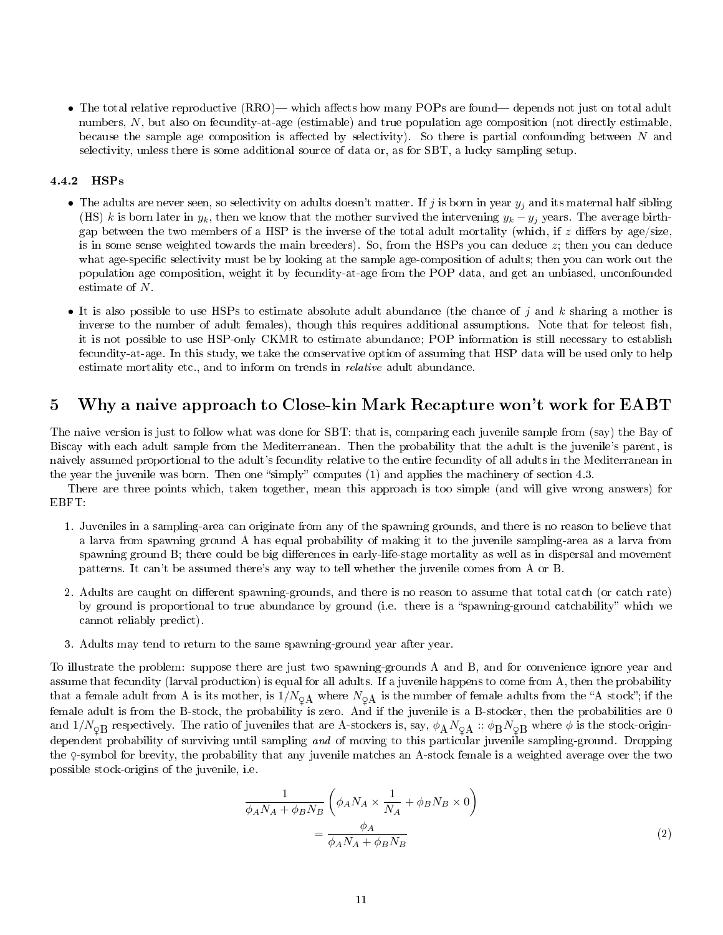• The total relative reproductive (RRO)— which affects how many POPs are found—depends not just on total adult numbers, N, but also on fecundity-at-age (estimable) and true population age composition (not directly estimable, because the sample age composition is affected by selectivity). So there is partial confounding between  $N$  and selectivity, unless there is some additional source of data or, as for SBT, a lucky sampling setup.

#### 4.4.2 HSPs

- The adults are never seen, so selectivity on adults doesn't matter. If j is born in year  $y_j$  and its maternal half sibling (HS) k is born later in  $y_k$ , then we know that the mother survived the intervening  $y_k - y_j$  years. The average birthgap between the two members of a HSP is the inverse of the total adult mortality (which, if z differs by age/size, is in some sense weighted towards the main breeders). So, from the HSPs you can deduce  $z$ ; then you can deduce what age-specific selectivity must be by looking at the sample age-composition of adults; then you can work out the population age composition, weight it by fecundity-at-age from the POP data, and get an unbiased, unconfounded estimate of N.
- It is also possible to use HSPs to estimate absolute adult abundance (the chance of  $j$  and  $k$  sharing a mother is inverse to the number of adult females), though this requires additional assumptions. Note that for teleost fish, it is not possible to use HSP-only CKMR to estimate abundance; POP information is still necessary to establish fecundity-at-age. In this study, we take the conservative option of assuming that HSP data will be used only to help estimate mortality etc., and to inform on trends in relative adult abundance.

# 5 Why a naive approach to Close-kin Mark Recapture won't work for EABT

The naive version is just to follow what was done for SBT: that is, comparing each juvenile sample from (say) the Bay of Biscay with each adult sample from the Mediterranean. Then the probability that the adult is the juvenile's parent, is naively assumed proportional to the adult's fecundity relative to the entire fecundity of all adults in the Mediterranean in the year the juvenile was born. Then one "simply" computes (1) and applies the machinery of section 4.3.

There are three points which, taken together, mean this approach is too simple (and will give wrong answers) for EBFT:

- 1. Juveniles in a sampling-area can originate from any of the spawning grounds, and there is no reason to believe that a larva from spawning ground A has equal probability of making it to the juvenile sampling-area as a larva from spawning ground B; there could be big differences in early-life-stage mortality as well as in dispersal and movement patterns. It can't be assumed there's any way to tell whether the juvenile comes from A or B.
- 2. Adults are caught on different spawning-grounds, and there is no reason to assume that total catch (or catch rate) by ground is proportional to true abundance by ground (i.e. there is a "spawning-ground catchability" which we cannot reliably predict).
- 3. Adults may tend to return to the same spawning-ground year after year.

To illustrate the problem: suppose there are just two spawning-grounds A and B, and for convenience ignore year and assume that fecundity (larval production) is equal for all adults. If a juvenile happens to come from A, then the probability that a female adult from A is its mother, is  $1/N_{\text{QA}}$  where  $N_{\text{QA}}$  is the number of female adults from the "A stock"; if the female adult is from the B-stock, the probability is zero. And if the juvenile is a B-stocker, then the probabilities are 0 and  $1/N_{\text{Q}}B$  respectively. The ratio of juveniles that are A-stockers is, say,  $\phi_A N_{\text{Q}}A :: \phi_B N_{\text{Q}}B$  where  $\phi$  is the stock-origindependent probability of surviving until sampling and of moving to this particular juvenile sampling-ground. Dropping the ♀-symbol for brevity, the probability that any juvenile matches an A-stock female is a weighted average over the two possible stock-origins of the juvenile, i.e.

$$
\frac{1}{\phi_A N_A + \phi_B N_B} \left( \phi_A N_A \times \frac{1}{N_A} + \phi_B N_B \times 0 \right)
$$

$$
= \frac{\phi_A}{\phi_A N_A + \phi_B N_B} \tag{2}
$$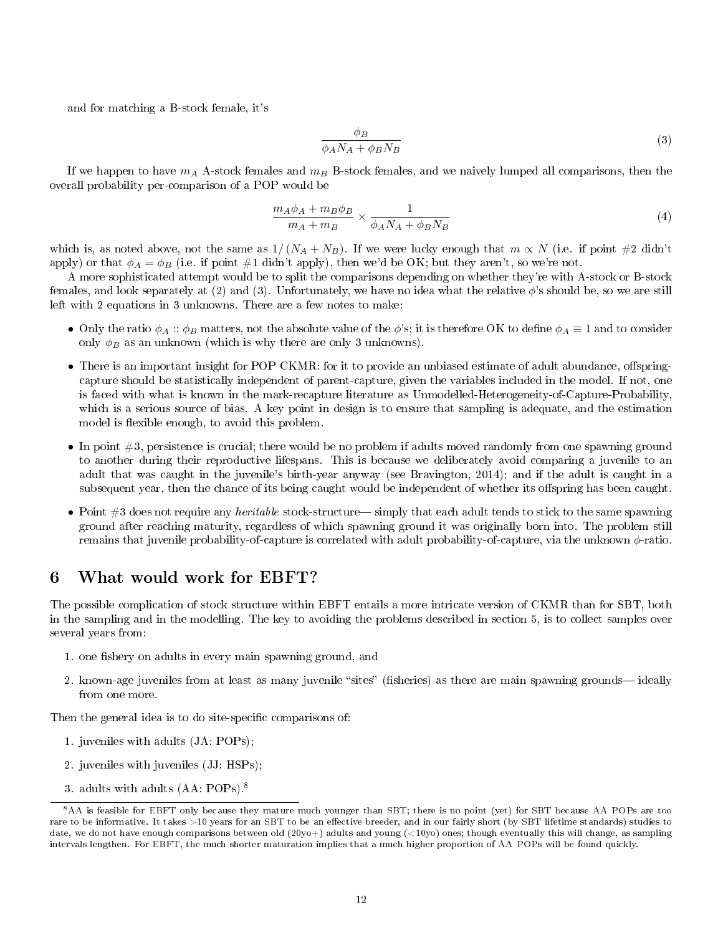and for matching a B-stock female, it's

$$
\frac{\phi_B}{\phi_A N_A + \phi_B N_B} \tag{3}
$$

If we happen to have  $m_A$  A-stock females and  $m_B$  B-stock females, and we naively lumped all comparisons, then the overall probability per-comparison of a POP would be

$$
\frac{m_A \phi_A + m_B \phi_B}{m_A + m_B} \times \frac{1}{\phi_A N_A + \phi_B N_B} \tag{4}
$$

which is, as noted above, not the same as  $1/(N_A + N_B)$ . If we were lucky enough that  $m \propto N$  (i.e. if point #2 didn't apply) or that  $\phi_A = \phi_B$  (i.e. if point #1 didn't apply), then we'd be OK; but they aren't, so we're not.

A more sophisticated attempt would be to split the comparisons depending on whether they're with A-stock or B-stock females, and look separately at (2) and (3). Unfortunately, we have no idea what the relative  $\phi$ 's should be, so we are still left with 2 equations in 3 unknowns. There are a few notes to make:

- Only the ratio  $\phi_A :: \phi_B$  matters, not the absolute value of the  $\phi$ 's; it is therefore OK to define  $\phi_A \equiv 1$  and to consider only  $\phi_B$  as an unknown (which is why there are only 3 unknowns).
- There is an important insight for POP CKMR: for it to provide an unbiased estimate of adult abundance, offspringcapture should be statistically independent of parent-capture, given the variables included in the model. If not, one is faced with what is known in the mark-recapture literature as Unmodelled-Heterogeneity-of-Capture-Probability, which is a serious source of bias. A key point in design is to ensure that sampling is adequate, and the estimation model is flexible enough, to avoid this problem.
- In point  $#3$ , persistence is crucial; there would be no problem if adults moved randomly from one spawning ground to another during their reproductive lifespans. This is because we deliberately avoid comparing a juvenile to an adult that was caught in the juvenile's birth-year anyway (see Bravington, 2014); and if the adult is caught in a subsequent year, then the chance of its being caught would be independent of whether its offspring has been caught.
- Point  $#3$  does not require any *heritable* stock-structure— simply that each adult tends to stick to the same spawning ground after reaching maturity, regardless of which spawning ground it was originally born into. The problem still remains that juvenile probability-of-capture is correlated with adult probability-of-capture, via the unknown φ-ratio.

# 6 What would work for EBFT?

The possible complication of stock structure within EBFT entails a more intricate version of CKMR than for SBT, both in the sampling and in the modelling. The key to avoiding the problems described in section 5, is to collect samples over several years from:

- 1. one fishery on adults in every main spawning ground, and
- 2. known-age juveniles from at least as many juvenile "sites" (fisheries) as there are main spawning grounds—ideally from one more.

Then the general idea is to do site-specific comparisons of:

- 1. juveniles with adults (JA: POPs);
- 2. juveniles with juveniles (JJ: HSPs);
- 3. adults with adults (AA: POPs).<sup>8</sup>

<sup>&</sup>lt;sup>8</sup>AA is feasible for EBFT only because they mature much younger than SBT; there is no point (yet) for SBT because AA POPs are too rare to be informative. It takes >10 years for an SBT to be an effective breeder, and in our fairly short (by SBT lifetime standards) studies to date, we do not have enough comparisons between old (20yo+) adults and young ( $\langle 10y0 \rangle$  ones; though eventually this will change, as sampling intervals lengthen. For EBFT, the much shorter maturation implies that a much higher proportion of AA POPs will be found quickly.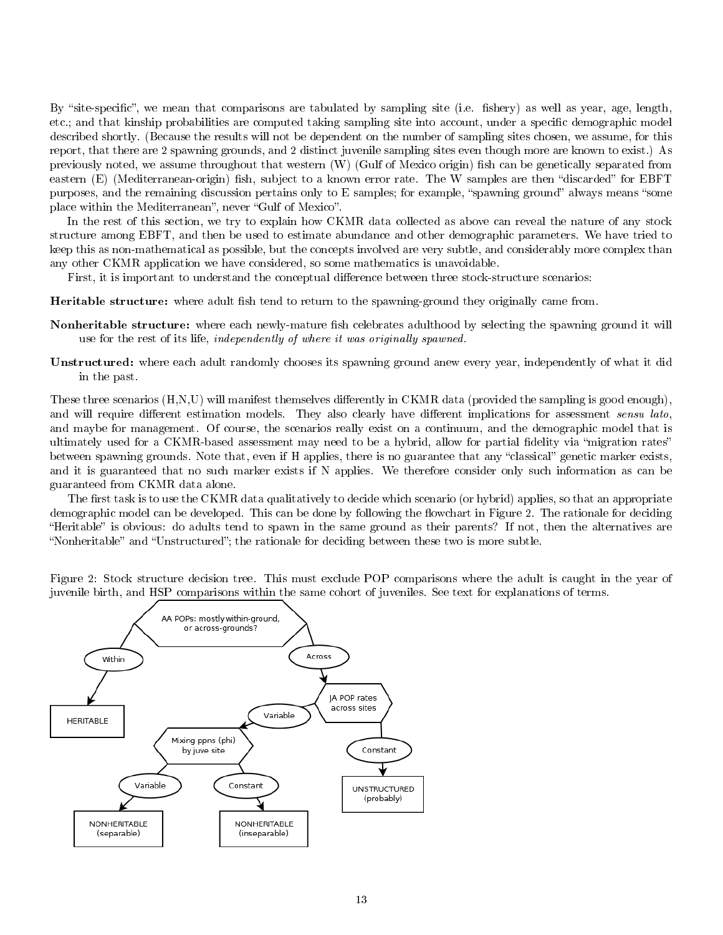By "site-specific", we mean that comparisons are tabulated by sampling site (i.e. fishery) as well as year, age, length, etc.; and that kinship probabilities are computed taking sampling site into account, under a specic demographic model described shortly. (Because the results will not be dependent on the number of sampling sites chosen, we assume, for this report, that there are 2 spawning grounds, and 2 distinct juvenile sampling sites even though more are known to exist.) As previously noted, we assume throughout that western  $(W)$  (Gulf of Mexico origin) fish can be genetically separated from eastern (E) (Mediterranean-origin) fish, subject to a known error rate. The W samples are then "discarded" for EBFT purposes, and the remaining discussion pertains only to E samples; for example, "spawning ground" always means "some place within the Mediterranean", never "Gulf of Mexico".

In the rest of this section, we try to explain how CKMR data collected as above can reveal the nature of any stock structure among EBFT, and then be used to estimate abundance and other demographic parameters. We have tried to keep this as non-mathematical as possible, but the concepts involved are very subtle, and considerably more complex than any other CKMR application we have considered, so some mathematics is unavoidable.

First, it is important to understand the conceptual difference between three stock-structure scenarios:

Heritable structure: where adult fish tend to return to the spawning-ground they originally came from.

- Nonheritable structure: where each newly-mature fish celebrates adulthood by selecting the spawning ground it will use for the rest of its life, independently of where it was originally spawned.
- Unstructured: where each adult randomly chooses its spawning ground anew every year, independently of what it did in the past.

These three scenarios  $(H, N, U)$  will manifest themselves differently in CKMR data (provided the sampling is good enough), and will require different estimation models. They also clearly have different implications for assessment sensu lato, and maybe for management. Of course, the scenarios really exist on a continuum, and the demographic model that is ultimately used for a CKMR-based assessment may need to be a hybrid, allow for partial fidelity via "migration rates" between spawning grounds. Note that, even if H applies, there is no guarantee that any "classical" genetic marker exists, and it is guaranteed that no such marker exists if N applies. We therefore consider only such information as can be guaranteed from CKMR data alone.

The first task is to use the CKMR data qualitatively to decide which scenario (or hybrid) applies, so that an appropriate demographic model can be developed. This can be done by following the flowchart in Figure 2. The rationale for deciding "Heritable" is obvious: do adults tend to spawn in the same ground as their parents? If not, then the alternatives are "Nonheritable" and "Unstructured"; the rationale for deciding between these two is more subtle.

Figure 2: Stock structure decision tree. This must exclude POP comparisons where the adult is caught in the year of juvenile birth, and HSP comparisons within the same cohort of juveniles. See text for explanations of terms.

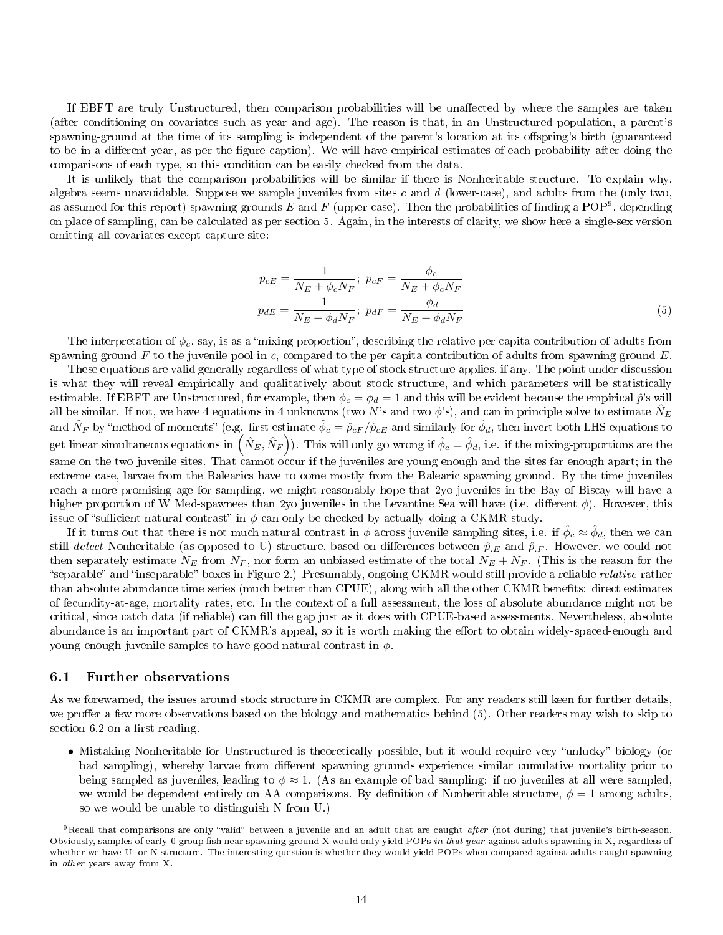If EBFT are truly Unstructured, then comparison probabilities will be unaffected by where the samples are taken (after conditioning on covariates such as year and age). The reason is that, in an Unstructured population, a parent's spawning-ground at the time of its sampling is independent of the parent's location at its offspring's birth (guaranteed to be in a different year, as per the figure caption). We will have empirical estimates of each probability after doing the comparisons of each type, so this condition can be easily checked from the data.

It is unlikely that the comparison probabilities will be similar if there is Nonheritable structure. To explain why, algebra seems unavoidable. Suppose we sample juveniles from sites c and  $d$  (lower-case), and adults from the (only two, as assumed for this report) spawning-grounds  $E$  and  $F$  (upper-case). Then the probabilities of finding a POP<sup>9</sup>, depending on place of sampling, can be calculated as per section 5. Again, in the interests of clarity, we show here a single-sex version omitting all covariates except capture-site:

$$
p_{cE} = \frac{1}{N_E + \phi_c N_F}; \ p_{cF} = \frac{\phi_c}{N_E + \phi_c N_F}
$$

$$
p_{dE} = \frac{1}{N_E + \phi_d N_F}; \ p_{dF} = \frac{\phi_d}{N_E + \phi_d N_F}
$$
(5)

The interpretation of  $\phi_c$ , say, is as a "mixing proportion", describing the relative per capita contribution of adults from spawning ground  $F$  to the juvenile pool in c, compared to the per capita contribution of adults from spawning ground  $E$ .

These equations are valid generally regardless of what type of stock structure applies, if any. The point under discussion is what they will reveal empirically and qualitatively about stock structure, and which parameters will be statistically estimable. If EBFT are Unstructured, for example, then  $\phi_c = \phi_d = 1$  and this will be evident because the empirical  $\hat{p}$ 's will all be similar. If not, we have 4 equations in 4 unknowns (two N's and two  $\phi$ 's), and can in principle solve to estimate  $\hat{N}_E$ and  $\hat{N}_F$  by "method of moments" (e.g. first estimate  $\hat{\phi}_c=\hat{p}_{cF}/\hat{p}_{cE}$  and similarly for  $\hat{\phi}_d,$  then invert both LHS equations to get linear simultaneous equations in  $\left(\hat{N}_E,\hat{N}_F\right)$ ). This will only go wrong if  $\hat{\phi}_c=\hat{\phi}_d,$  i.e. if the mixing-proportions are the same on the two juvenile sites. That cannot occur if the juveniles are young enough and the sites far enough apart; in the extreme case, larvae from the Balearics have to come mostly from the Balearic spawning ground. By the time juveniles reach a more promising age for sampling, we might reasonably hope that 2yo juveniles in the Bay of Biscay will have a higher proportion of W Med-spawnees than 2yo juveniles in the Levantine Sea will have (i.e. different  $\phi$ ). However, this issue of "sufficient natural contrast" in  $\phi$  can only be checked by actually doing a CKMR study.

If it turns out that there is not much natural contrast in  $\phi$  across juvenile sampling sites, i.e. if  $\hat{\phi}_c \approx \hat{\phi}_d$ , then we can still detect Nonheritable (as opposed to U) structure, based on differences between  $\hat{p}_E$  and  $\hat{p}_F$ . However, we could not then separately estimate  $N_E$  from  $N_F$ , nor form an unbiased estimate of the total  $N_E + N_F$ . (This is the reason for the "separable" and "inseparable" boxes in Figure 2.) Presumably, ongoing CKMR would still provide a reliable *relative* rather than absolute abundance time series (much better than CPUE), along with all the other CKMR benefits: direct estimates of fecundity-at-age, mortality rates, etc. In the context of a full assessment, the loss of absolute abundance might not be critical, since catch data (if reliable) can fill the gap just as it does with CPUE-based assessments. Nevertheless, absolute abundance is an important part of CKMR's appeal, so it is worth making the effort to obtain widely-spaced-enough and young-enough juvenile samples to have good natural contrast in  $\phi$ .

#### 6.1 Further observations

As we forewarned, the issues around stock structure in CKMR are complex. For any readers still keen for further details, we proffer a few more observations based on the biology and mathematics behind (5). Other readers may wish to skip to section  $6.2$  on a first reading.

• Mistaking Nonheritable for Unstructured is theoretically possible, but it would require very "unlucky" biology (or bad sampling), whereby larvae from different spawning grounds experience similar cumulative mortality prior to being sampled as juveniles, leading to  $\phi \approx 1$ . (As an example of bad sampling: if no juveniles at all were sampled, we would be dependent entirely on AA comparisons. By definition of Nonheritable structure,  $\phi = 1$  among adults, so we would be unable to distinguish N from U.)

 $9$ Recall that comparisons are only "valid" between a juvenile and an adult that are caught after (not during) that juvenile's birth-season. Obviously, samples of early-0-group fish near spawning ground X would only yield POPs in that year against adults spawning in X, regardless of whether we have U- or N-structure. The interesting question is whether they would yield POPs when compared against adults caught spawning in other years away from X.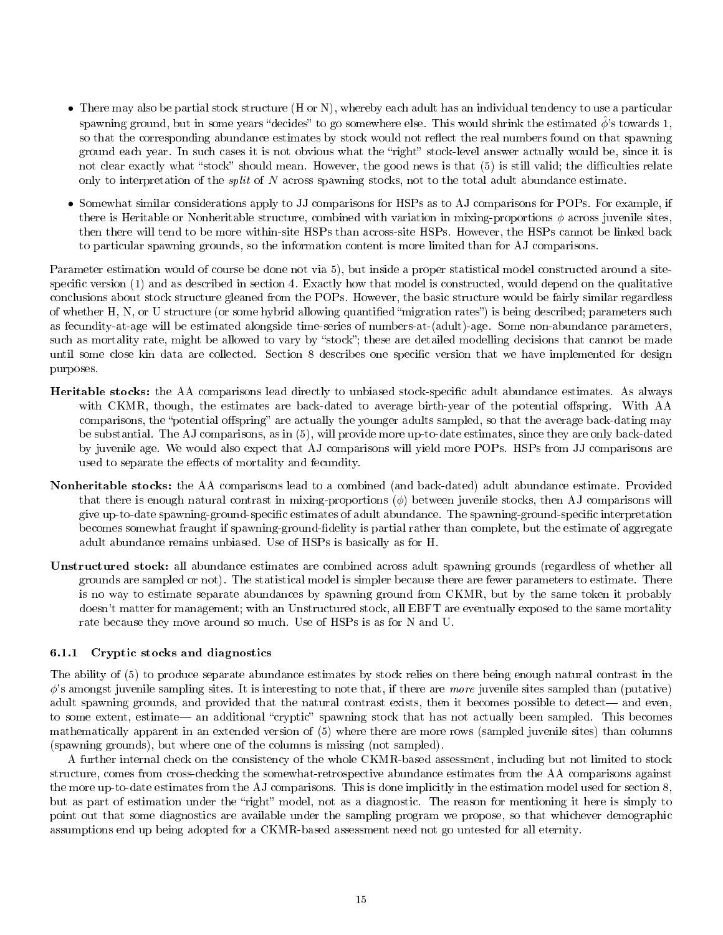- There may also be partial stock structure (H or N), whereby each adult has an individual tendency to use a particular spawning ground, but in some years "decides" to go somewhere else. This would shrink the estimated  $\hat{\phi}$ 's towards 1, so that the corresponding abundance estimates by stock would not reflect the real numbers found on that spawning ground each year. In such cases it is not obvious what the "right" stock-level answer actually would be, since it is not clear exactly what "stock" should mean. However, the good news is that (5) is still valid; the difficulties relate only to interpretation of the split of N across spawning stocks, not to the total adult abundance estimate.
- Somewhat similar considerations apply to JJ comparisons for HSPs as to AJ comparisons for POPs. For example, if there is Heritable or Nonheritable structure, combined with variation in mixing-proportions  $\phi$  across juvenile sites, then there will tend to be more within-site HSPs than across-site HSPs. However, the HSPs cannot be linked back to particular spawning grounds, so the information content is more limited than for AJ comparisons.

Parameter estimation would of course be done not via 5), but inside a proper statistical model constructed around a sitespecific version  $(1)$  and as described in section 4. Exactly how that model is constructed, would depend on the qualitative conclusions about stock structure gleaned from the POPs. However, the basic structure would be fairly similar regardless of whether H, N, or U structure (or some hybrid allowing quantified "migration rates") is being described; parameters such as fecundity-at-age will be estimated alongside time-series of numbers-at-(adult)-age. Some non-abundance parameters, such as mortality rate, might be allowed to vary by "stock"; these are detailed modelling decisions that cannot be made until some close kin data are collected. Section 8 describes one specific version that we have implemented for design purposes.

- Heritable stocks: the AA comparisons lead directly to unbiased stock-specific adult abundance estimates. As always with CKMR, though, the estimates are back-dated to average birth-year of the potential offspring. With AA comparisons, the "potential offspring" are actually the younger adults sampled, so that the average back-dating may be substantial. The AJ comparisons, as in (5), will provide more up-to-date estimates, since they are only back-dated by juvenile age. We would also expect that AJ comparisons will yield more POPs. HSPs from JJ comparisons are used to separate the effects of mortality and fecundity.
- Nonheritable stocks: the AA comparisons lead to a combined (and back-dated) adult abundance estimate. Provided that there is enough natural contrast in mixing-proportions  $(\phi)$  between juvenile stocks, then AJ comparisons will give up-to-date spawning-ground-specific estimates of adult abundance. The spawning-ground-specific interpretation becomes somewhat fraught if spawning-ground-delity is partial rather than complete, but the estimate of aggregate adult abundance remains unbiased. Use of HSPs is basically as for H.
- Unstructured stock: all abundance estimates are combined across adult spawning grounds (regardless of whether all grounds are sampled or not). The statistical model is simpler because there are fewer parameters to estimate. There is no way to estimate separate abundances by spawning ground from CKMR, but by the same token it probably doesn't matter for management; with an Unstructured stock, all EBFT are eventually exposed to the same mortality rate because they move around so much. Use of HSPs is as for N and U.

#### 6.1.1 Cryptic stocks and diagnostics

The ability of (5) to produce separate abundance estimates by stock relies on there being enough natural contrast in the  $\phi$ 's amongst juvenile sampling sites. It is interesting to note that, if there are more juvenile sites sampled than (putative) adult spawning grounds, and provided that the natural contrast exists, then it becomes possible to detect— and even, to some extent, estimate— an additional "cryptic" spawning stock that has not actually been sampled. This becomes mathematically apparent in an extended version of (5) where there are more rows (sampled juvenile sites) than columns (spawning grounds), but where one of the columns is missing (not sampled).

A further internal check on the consistency of the whole CKMR-based assessment, including but not limited to stock structure, comes from cross-checking the somewhat-retrospective abundance estimates from the AA comparisons against the more up-to-date estimates from the AJ comparisons. This is done implicitly in the estimation model used for section 8, but as part of estimation under the "right" model, not as a diagnostic. The reason for mentioning it here is simply to point out that some diagnostics are available under the sampling program we propose, so that whichever demographic assumptions end up being adopted for a CKMR-based assessment need not go untested for all eternity.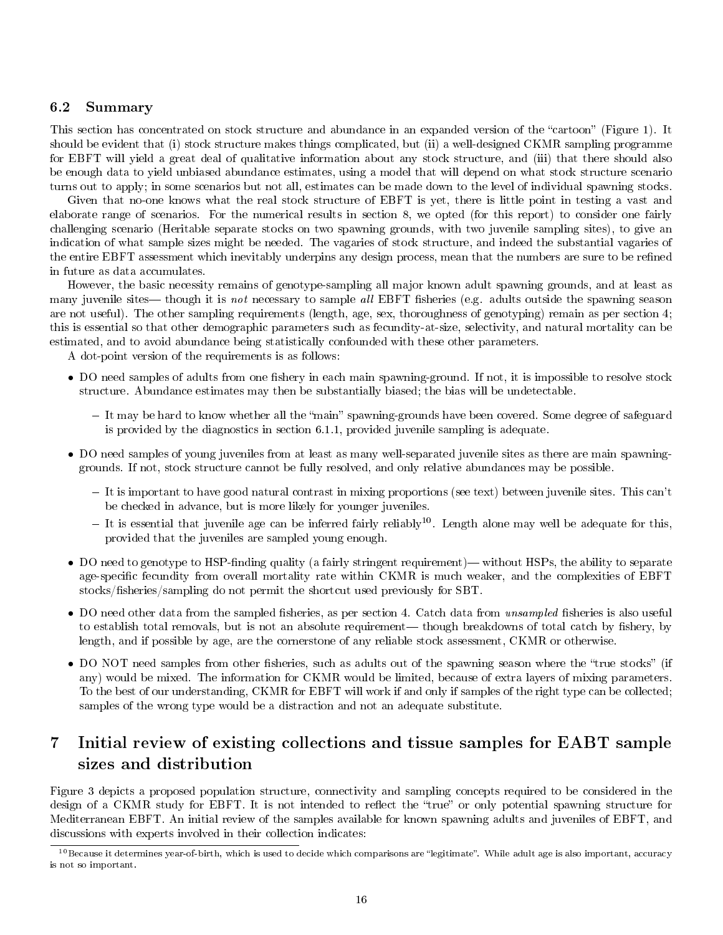#### 6.2 Summary

This section has concentrated on stock structure and abundance in an expanded version of the "cartoon" (Figure 1). It should be evident that (i) stock structure makes things complicated, but (ii) a well-designed CKMR sampling programme for EBFT will yield a great deal of qualitative information about any stock structure, and (iii) that there should also be enough data to yield unbiased abundance estimates, using a model that will depend on what stock structure scenario turns out to apply; in some scenarios but not all, estimates can be made down to the level of individual spawning stocks.

Given that no-one knows what the real stock structure of EBFT is yet, there is little point in testing a vast and elaborate range of scenarios. For the numerical results in section 8, we opted (for this report) to consider one fairly challenging scenario (Heritable separate stocks on two spawning grounds, with two juvenile sampling sites), to give an indication of what sample sizes might be needed. The vagaries of stock structure, and indeed the substantial vagaries of the entire EBFT assessment which inevitably underpins any design process, mean that the numbers are sure to be refined in future as data accumulates.

However, the basic necessity remains of genotype-sampling all major known adult spawning grounds, and at least as many juvenile sites— though it is not necessary to sample all EBFT fisheries (e.g. adults outside the spawning season are not useful). The other sampling requirements (length, age, sex, thoroughness of genotyping) remain as per section 4; this is essential so that other demographic parameters such as fecundity-at-size, selectivity, and natural mortality can be estimated, and to avoid abundance being statistically confounded with these other parameters.

A dot-point version of the requirements is as follows:

- DO need samples of adults from one fishery in each main spawning-ground. If not, it is impossible to resolve stock structure. Abundance estimates may then be substantially biased; the bias will be undetectable.
	- It may be hard to know whether all the "main" spawning-grounds have been covered. Some degree of safeguard is provided by the diagnostics in section 6.1.1, provided juvenile sampling is adequate.
- DO need samples of young juveniles from at least as many well-separated juvenile sites as there are main spawninggrounds. If not, stock structure cannot be fully resolved, and only relative abundances may be possible.
	- It is important to have good natural contrast in mixing proportions (see text) between juvenile sites. This can't be checked in advance, but is more likely for younger juveniles.
	- $-$  It is essential that juvenile age can be inferred fairly reliably<sup>10</sup>. Length alone may well be adequate for this, provided that the juveniles are sampled young enough.
- DO need to genotype to HSP-finding quality (a fairly stringent requirement)—without HSPs, the ability to separate age-specific fecundity from overall mortality rate within CKMR is much weaker, and the complexities of EBFT stocks/fisheries/sampling do not permit the shortcut used previously for SBT.
- DO need other data from the sampled fisheries, as per section 4. Catch data from *unsampled* fisheries is also useful to establish total removals, but is not an absolute requirement— though breakdowns of total catch by fishery, by length, and if possible by age, are the cornerstone of any reliable stock assessment, CKMR or otherwise.
- DO NOT need samples from other fisheries, such as adults out of the spawning season where the "true stocks" (if any) would be mixed. The information for CKMR would be limited, because of extra layers of mixing parameters. To the best of our understanding, CKMR for EBFT will work if and only if samples of the right type can be collected; samples of the wrong type would be a distraction and not an adequate substitute.

# 7 Initial review of existing collections and tissue samples for EABT sample sizes and distribution

Figure 3 depicts a proposed population structure, connectivity and sampling concepts required to be considered in the design of a CKMR study for EBFT. It is not intended to reflect the "true" or only potential spawning structure for Mediterranean EBFT. An initial review of the samples available for known spawning adults and juveniles of EBFT, and discussions with experts involved in their collection indicates:

 $^{10}\rm Because$  it determines year-of-birth, which is used to decide which comparisons are "legitimate". While adult age is also important, accuracy is not so important.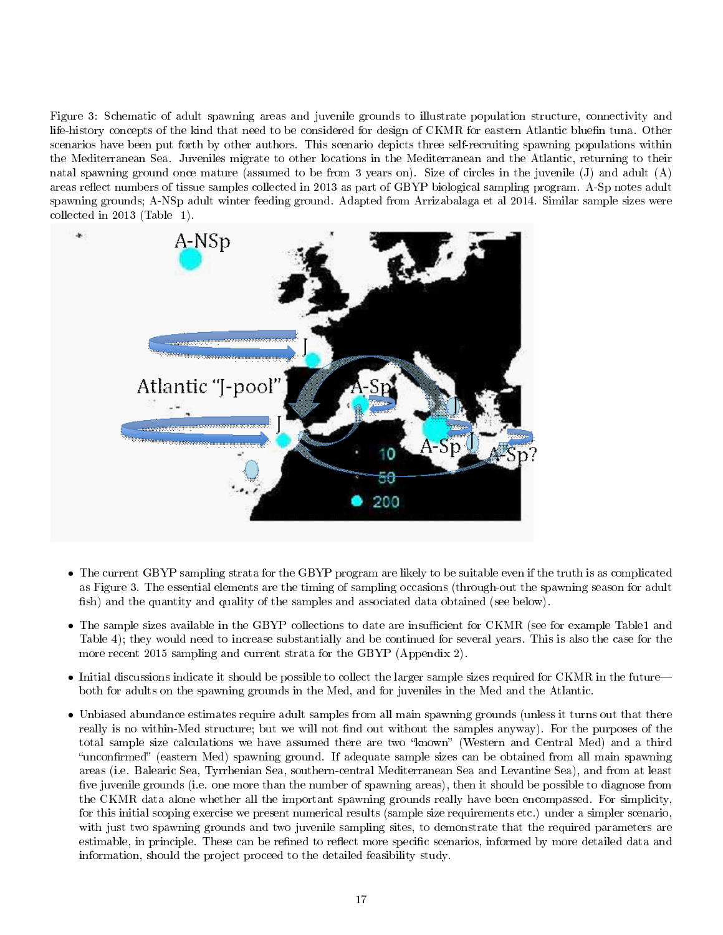Figure 3: Schematic of adult spawning areas and juvenile grounds to illustrate population structure, connectivity and life-history concepts of the kind that need to be considered for design of CKMR for eastern Atlantic bluefin tuna. Other scenarios have been put forth by other authors. This scenario depicts three self-recruiting spawning populations within the Mediterranean Sea. Juveniles migrate to other locations in the Mediterranean and the Atlantic, returning to their natal spawning ground once mature (assumed to be from 3 years on). Size of circles in the juvenile (J) and adult (A) areas reflect numbers of tissue samples collected in 2013 as part of GBYP biological sampling program. A-Sp notes adult spawning grounds; A-NSp adult winter feeding ground. Adapted from Arrizabalaga et al 2014. Similar sample sizes were collected in 2013 (Table 1).



- The current GBYP sampling strata for the GBYP program are likely to be suitable even if the truth is as complicated as Figure 3. The essential elements are the timing of sampling occasions (through-out the spawning season for adult fish) and the quantity and quality of the samples and associated data obtained (see below).
- The sample sizes available in the GBYP collections to date are insufficient for CKMR (see for example Table1 and Table 4); they would need to increase substantially and be continued for several years. This is also the case for the more recent 2015 sampling and current strata for the GBYP (Appendix 2).
- Initial discussions indicate it should be possible to collect the larger sample sizes required for CKMR in the future both for adults on the spawning grounds in the Med, and for juveniles in the Med and the Atlantic.
- Unbiased abundance estimates require adult samples from all main spawning grounds (unless it turns out that there really is no within-Med structure; but we will not find out without the samples anyway). For the purposes of the total sample size calculations we have assumed there are two "known" (Western and Central Med) and a third "unconfirmed" (eastern Med) spawning ground. If adequate sample sizes can be obtained from all main spawning areas (i.e. Balearic Sea, Tyrrhenian Sea, southern-central Mediterranean Sea and Levantine Sea), and from at least five juvenile grounds (i.e. one more than the number of spawning areas), then it should be possible to diagnose from the CKMR data alone whether all the important spawning grounds really have been encompassed. For simplicity, for this initial scoping exercise we present numerical results (sample size requirements etc.) under a simpler scenario, with just two spawning grounds and two juvenile sampling sites, to demonstrate that the required parameters are estimable, in principle. These can be refined to reflect more specific scenarios, informed by more detailed data and information, should the project proceed to the detailed feasibility study.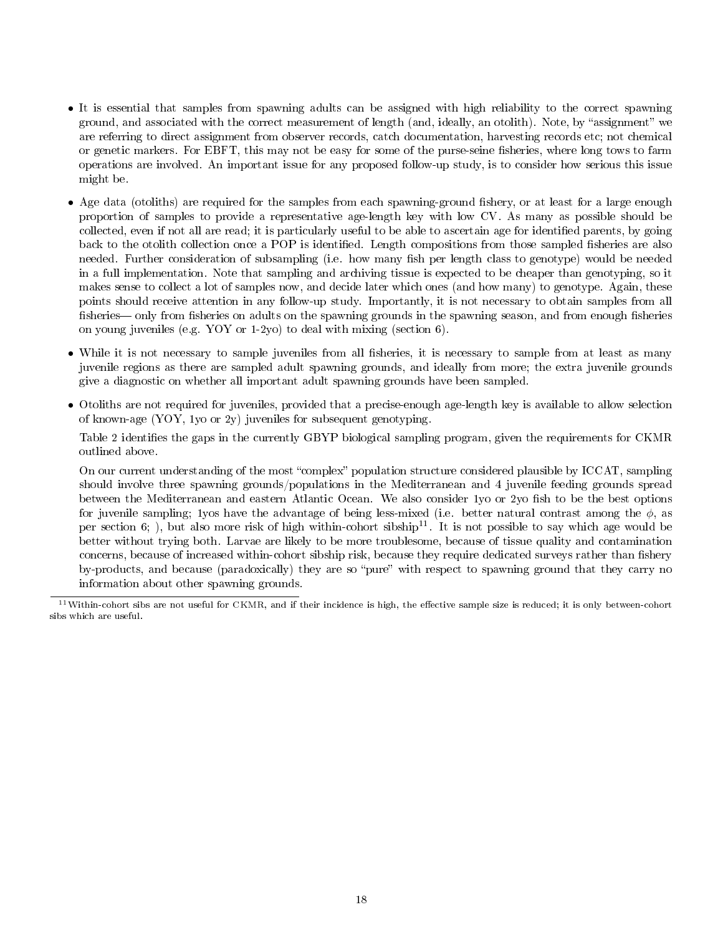- It is essential that samples from spawning adults can be assigned with high reliability to the correct spawning ground, and associated with the correct measurement of length (and, ideally, an otolith). Note, by "assignment" we are referring to direct assignment from observer records, catch documentation, harvesting records etc; not chemical or genetic markers. For EBFT, this may not be easy for some of the purse-seine fisheries, where long tows to farm operations are involved. An important issue for any proposed follow-up study, is to consider how serious this issue might be.
- Age data (otoliths) are required for the samples from each spawning-ground fishery, or at least for a large enough proportion of samples to provide a representative age-length key with low CV. As many as possible should be collected, even if not all are read; it is particularly useful to be able to ascertain age for identified parents, by going back to the otolith collection once a POP is identified. Length compositions from those sampled fisheries are also needed. Further consideration of subsampling (i.e. how many fish per length class to genotype) would be needed in a full implementation. Note that sampling and archiving tissue is expected to be cheaper than genotyping, so it makes sense to collect a lot of samples now, and decide later which ones (and how many) to genotype. Again, these points should receive attention in any follow-up study. Importantly, it is not necessary to obtain samples from all fisheries— only from fisheries on adults on the spawning grounds in the spawning season, and from enough fisheries on young juveniles (e.g. YOY or 1-2yo) to deal with mixing (section 6).
- While it is not necessary to sample juveniles from all fisheries, it is necessary to sample from at least as many juvenile regions as there are sampled adult spawning grounds, and ideally from more; the extra juvenile grounds give a diagnostic on whether all important adult spawning grounds have been sampled.
- Otoliths are not required for juveniles, provided that a precise-enough age-length key is available to allow selection of known-age  $(YOY, 1$  vo or  $2y$ ) juveniles for subsequent genotyping.

Table 2 identifies the gaps in the currently GBYP biological sampling program, given the requirements for CKMR outlined above.

On our current understanding of the most "complex" population structure considered plausible by ICCAT, sampling should involve three spawning grounds/populations in the Mediterranean and 4 juvenile feeding grounds spread between the Mediterranean and eastern Atlantic Ocean. We also consider 1yo or 2yo fish to be the best options for juvenile sampling; 1yos have the advantage of being less-mixed (i.e. better natural contrast among the  $\phi$ , as per section 6; ), but also more risk of high within-cohort sibship<sup>11</sup>. It is not possible to say which age would be better without trying both. Larvae are likely to be more troublesome, because of tissue quality and contamination concerns, because of increased within-cohort sibship risk, because they require dedicated surveys rather than fishery by-products, and because (paradoxically) they are so "pure" with respect to spawning ground that they carry no information about other spawning grounds.

 $11$ Within-cohort sibs are not useful for CKMR, and if their incidence is high, the effective sample size is reduced; it is only between-cohort sibs which are useful.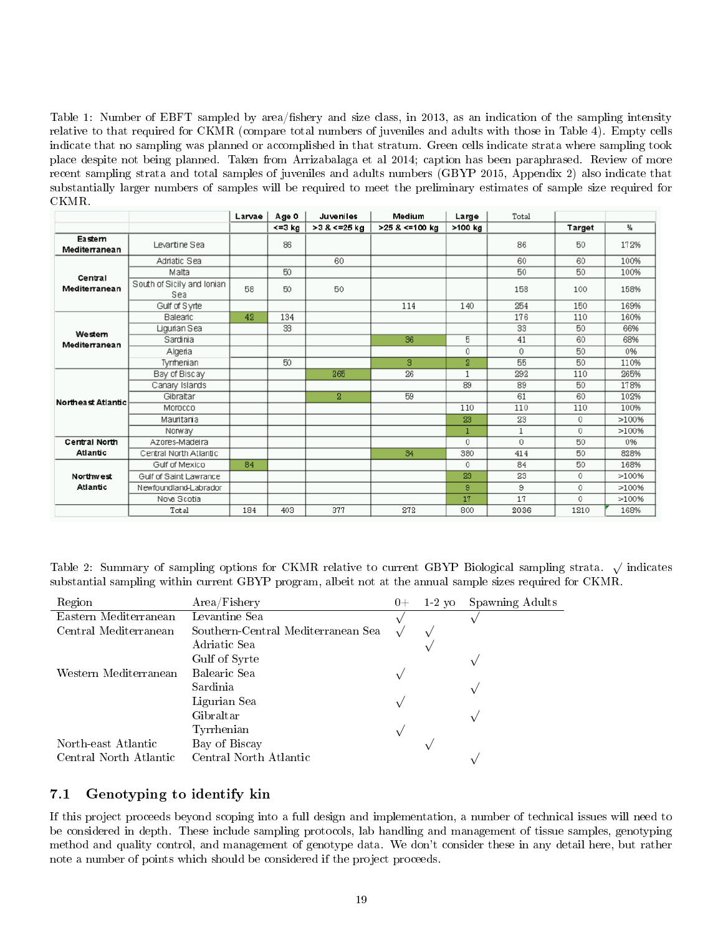Table 1: Number of EBFT sampled by area/fishery and size class, in 2013, as an indication of the sampling intensity relative to that required for CKMR (compare total numbers of juveniles and adults with those in Table 4). Empty cells indicate that no sampling was planned or accomplished in that stratum. Green cells indicate strata where sampling took place despite not being planned. Taken from Arrizabalaga et al 2014; caption has been paraphrased. Review of more recent sampling strata and total samples of juveniles and adults numbers (GBYP 2015, Appendix 2) also indicate that substantially larger numbers of samples will be required to meet the preliminary estimates of sample size required for CKMR.

|                         |                                   | Larvae | Age 0        | Juveniles    | Medium           | Large          | Total |             |       |
|-------------------------|-----------------------------------|--------|--------------|--------------|------------------|----------------|-------|-------------|-------|
|                         |                                   |        | $\leq$ =3 kg | >3 & <=25 kg | $>25$ & <=100 kg | >100 kg        |       | Target      | %     |
| Eastem<br>Mediterranean | Levantine Sea                     |        | 86           |              |                  |                | 86    | 50          | 172%  |
|                         | Adriatic Sea                      |        |              | 60           |                  |                | 60    | 60          | 100%  |
| Central                 | Malta                             |        | 50           |              |                  |                | 50    | 50          | 100%  |
| Mediterranean           | South of Sicily and Ionian<br>Sea | 58     | 50           | 50           |                  |                | 158   | 100         | 158%  |
|                         | Gulf of Syrte                     |        |              |              | 114              | 140            | 254   | 150         | 169%  |
|                         | Balearic                          | 42     | 134          |              |                  |                | 176   | 110         | 160%  |
| Westem                  | Ligurian Sea                      |        | 33           |              |                  |                | 33    | 50          | 66%   |
| Mediterranean           | Sardinia                          |        |              |              | 36               | 5              | 41    | 60          | 68%   |
|                         | Algeria                           |        |              |              |                  | 0              | 0     | 50          | 0%    |
|                         | Tyrrhenian                        |        | 50           |              | 3                | $\overline{2}$ | 55    | 50          | 110%  |
|                         | Bay of Biscay                     |        |              | 265          | 26               | $\mathbf{1}$   | 292   | 110         | 265%  |
|                         | Canary Islands                    |        |              |              |                  | 89             | 89    | 50          | 178%  |
| Northeast Atlantic      | Gibraltar                         |        |              | $\mathbf{2}$ | 59               |                | 61    | 60          | 102%  |
|                         | Morocco                           |        |              |              |                  | 110            | 110   | 110         | 100%  |
|                         | Mauritaria                        |        |              |              |                  | 23             | 23    | 0           | >100% |
|                         | Norway                            |        |              |              |                  | $\mathbf{1}$   | 1     | 0           | >100% |
| Central North           | Azores-Madeira                    |        |              |              |                  | $\Omega$       | 0     | 50          | 0%    |
| Atlantic                | Central North Atlantic            |        |              |              | 34               | 380            | 414   | 50          | 828%  |
|                         | Gulf of Mexico                    | 84     |              |              |                  | $\circ$        | 84    | 50          | 168%  |
| Northwest               | Gulf of Saint Lawrance            |        |              |              |                  | 23             | 23    | $\mathbf 0$ | >100% |
| <b>Atlantic</b>         | Newfoundland-Labrador             |        |              |              |                  | 9              | 9     | $\theta$    | >100% |
|                         | Nova Scotia                       |        |              |              |                  | 17             | 17    | $\Omega$    | >100% |
|                         | Total                             | 184    | 403          | 377          | 272              | 800            | 2036  | 1210        | 168%  |

Table 2: Summary of sampling options for CKMR relative to current GBYP Biological sampling strata.  $\sqrt$  indicates substantial sampling within current GBYP program, albeit not at the annual sample sizes required for CKMR.

| Region                 | Area/Fishery                       | $0+$ | $1-2$ vo | Spawning Adults |
|------------------------|------------------------------------|------|----------|-----------------|
| Eastern Mediterranean  | Levantine Sea                      |      |          |                 |
| Central Mediterranean  | Southern-Central Mediterranean Sea |      |          |                 |
|                        | Adriatic Sea                       |      |          |                 |
|                        | Gulf of Syrte                      |      |          |                 |
| Western Mediterranean  | Balearic Sea                       |      |          |                 |
|                        | Sardinia                           |      |          |                 |
|                        | Ligurian Sea                       |      |          |                 |
|                        | Gibraltar                          |      |          |                 |
|                        | Tyrrhenian                         |      |          |                 |
| North-east Atlantic    | Bay of Biscay                      |      |          |                 |
| Central North Atlantic | Central North Atlantic             |      |          |                 |
|                        |                                    |      |          |                 |

## 7.1 Genotyping to identify kin

If this project proceeds beyond scoping into a full design and implementation, a number of technical issues will need to be considered in depth. These include sampling protocols, lab handling and management of tissue samples, genotyping method and quality control, and management of genotype data. We don't consider these in any detail here, but rather note a number of points which should be considered if the project proceeds.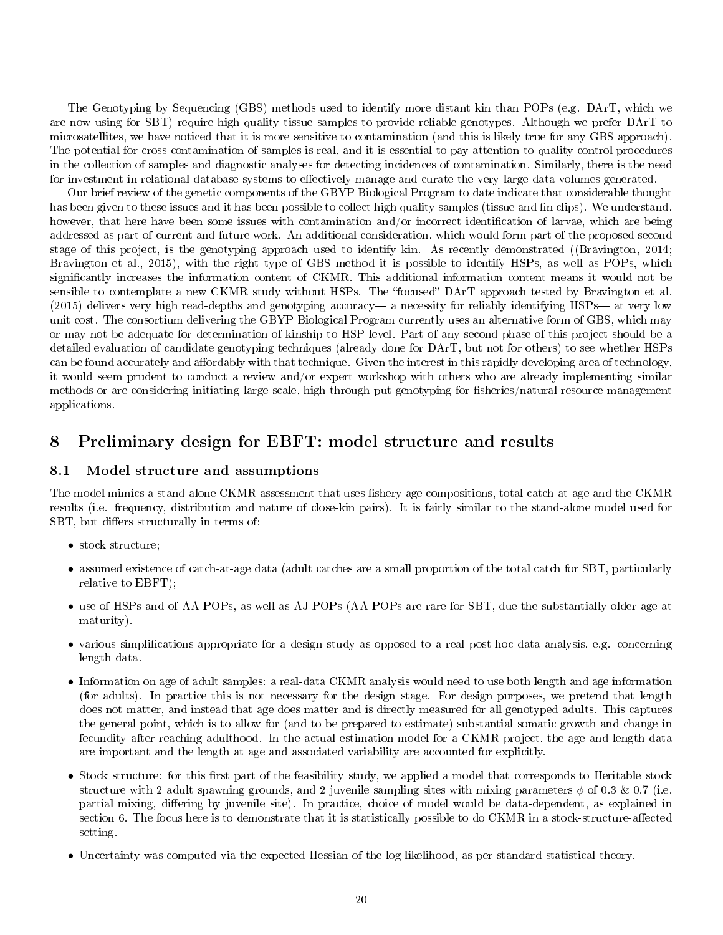The Genotyping by Sequencing (GBS) methods used to identify more distant kin than POPs (e.g. DArT, which we are now using for SBT) require high-quality tissue samples to provide reliable genotypes. Although we prefer DArT to microsatellites, we have noticed that it is more sensitive to contamination (and this is likely true for any GBS approach). The potential for cross-contamination of samples is real, and it is essential to pay attention to quality control procedures in the collection of samples and diagnostic analyses for detecting incidences of contamination. Similarly, there is the need for investment in relational database systems to effectively manage and curate the very large data volumes generated.

Our brief review of the genetic components of the GBYP Biological Program to date indicate that considerable thought has been given to these issues and it has been possible to collect high quality samples (tissue and fin clips). We understand, however, that here have been some issues with contamination and/or incorrect identification of larvae, which are being addressed as part of current and future work. An additional consideration, which would form part of the proposed second stage of this project, is the genotyping approach used to identify kin. As recently demonstrated ((Bravington, 2014; Bravington et al., 2015), with the right type of GBS method it is possible to identify HSPs, as well as POPs, which significantly increases the information content of CKMR. This additional information content means it would not be sensible to contemplate a new CKMR study without HSPs. The "focused" DArT approach tested by Bravington et al. (2015) delivers very high read-depths and genotyping accuracy— a necessity for reliably identifying  $HSPs$ — at very low unit cost. The consortium delivering the GBYP Biological Program currently uses an alternative form of GBS, which may or may not be adequate for determination of kinship to HSP level. Part of any second phase of this project should be a detailed evaluation of candidate genotyping techniques (already done for DArT, but not for others) to see whether HSPs can be found accurately and affordably with that technique. Given the interest in this rapidly developing area of technology, it would seem prudent to conduct a review and/or expert workshop with others who are already implementing similar methods or are considering initiating large-scale, high through-put genotyping for fisheries/natural resource management applications.

# 8 Preliminary design for EBFT: model structure and results

### 8.1 Model structure and assumptions

The model mimics a stand-alone CKMR assessment that uses fishery age compositions, total catch-at-age and the CKMR results (i.e. frequency, distribution and nature of close-kin pairs). It is fairly similar to the stand-alone model used for SBT, but differs structurally in terms of:

- stock structure;
- assumed existence of catch-at-age data (adult catches are a small proportion of the total catch for SBT, particularly relative to EBFT);
- use of HSPs and of AA-POPs, as well as AJ-POPs (AA-POPs are rare for SBT, due the substantially older age at maturity).
- various simplications appropriate for a design study as opposed to a real post-hoc data analysis, e.g. concerning length data.
- Information on age of adult samples: a real-data CKMR analysis would need to use both length and age information (for adults). In practice this is not necessary for the design stage. For design purposes, we pretend that length does not matter, and instead that age does matter and is directly measured for all genotyped adults. This captures the general point, which is to allow for (and to be prepared to estimate) substantial somatic growth and change in fecundity after reaching adulthood. In the actual estimation model for a CKMR project, the age and length data are important and the length at age and associated variability are accounted for explicitly.
- Stock structure: for this first part of the feasibility study, we applied a model that corresponds to Heritable stock structure with 2 adult spawning grounds, and 2 juvenile sampling sites with mixing parameters  $\phi$  of 0.3 & 0.7 (i.e. partial mixing, differing by juvenile site). In practice, choice of model would be data-dependent, as explained in section 6. The focus here is to demonstrate that it is statistically possible to do CKMR in a stock-structure-affected setting.
- Uncertainty was computed via the expected Hessian of the log-likelihood, as per standard statistical theory.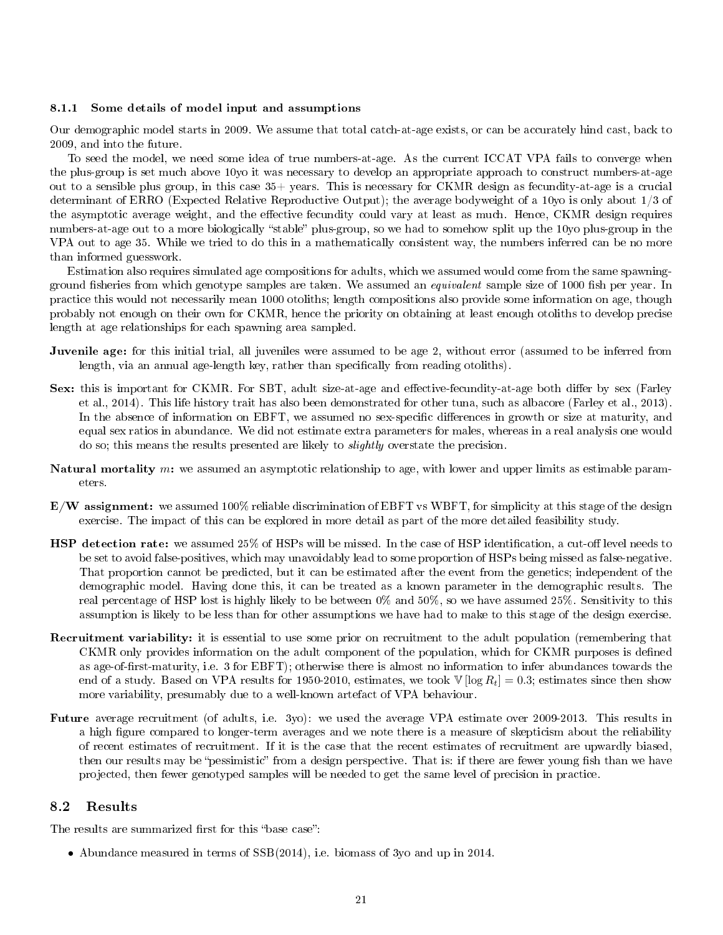#### 8.1.1 Some details of model input and assumptions

Our demographic model starts in 2009. We assume that total catch-at-age exists, or can be accurately hind cast, back to 2009, and into the future.

To seed the model, we need some idea of true numbers-at-age. As the current ICCAT VPA fails to converge when the plus-group is set much above 10yo it was necessary to develop an appropriate approach to construct numbers-at-age out to a sensible plus group, in this case 35+ years. This is necessary for CKMR design as fecundity-at-age is a crucial determinant of ERRO (Expected Relative Reproductive Output); the average bodyweight of a 10yo is only about 1/3 of the asymptotic average weight, and the effective fecundity could vary at least as much. Hence, CKMR design requires numbers-at-age out to a more biologically "stable" plus-group, so we had to somehow split up the 10yo plus-group in the VPA out to age 35. While we tried to do this in a mathematically consistent way, the numbers inferred can be no more than informed guesswork.

Estimation also requires simulated age compositions for adults, which we assumed would come from the same spawningground fisheries from which genotype samples are taken. We assumed an equivalent sample size of 1000 fish per year. In practice this would not necessarily mean 1000 otoliths; length compositions also provide some information on age, though probably not enough on their own for CKMR, hence the priority on obtaining at least enough otoliths to develop precise length at age relationships for each spawning area sampled.

- Juvenile age: for this initial trial, all juveniles were assumed to be age 2, without error (assumed to be inferred from length, via an annual age-length key, rather than specifically from reading otoliths).
- Sex: this is important for CKMR. For SBT, adult size-at-age and effective-fecundity-at-age both differ by sex (Farley et al., 2014). This life history trait has also been demonstrated for other tuna, such as albacore (Farley et al., 2013). In the absence of information on EBFT, we assumed no sex-specific differences in growth or size at maturity, and equal sex ratios in abundance. We did not estimate extra parameters for males, whereas in a real analysis one would do so; this means the results presented are likely to *slightly* overstate the precision.
- **Natural mortality** m: we assumed an asymptotic relationship to age, with lower and upper limits as estimable parameters.
- $E/W$  assignment: we assumed 100% reliable discrimination of EBFT vs WBFT, for simplicity at this stage of the design exercise. The impact of this can be explored in more detail as part of the more detailed feasibility study.
- HSP detection rate: we assumed 25% of HSPs will be missed. In the case of HSP identification, a cut-off level needs to be set to avoid false-positives, which may unavoidably lead to some proportion of HSPs being missed as false-negative. That proportion cannot be predicted, but it can be estimated after the event from the genetics; independent of the demographic model. Having done this, it can be treated as a known parameter in the demographic results. The real percentage of HSP lost is highly likely to be between 0% and 50%, so we have assumed 25%. Sensitivity to this assumption is likely to be less than for other assumptions we have had to make to this stage of the design exercise.
- Recruitment variability: it is essential to use some prior on recruitment to the adult population (remembering that CKMR only provides information on the adult component of the population, which for CKMR purposes is defined as age-of-first-maturity, i.e. 3 for EBFT); otherwise there is almost no information to infer abundances towards the end of a study. Based on VPA results for 1950-2010, estimates, we took  $\mathbb{V}[\log R_t] = 0.3$ ; estimates since then show more variability, presumably due to a well-known artefact of VPA behaviour.
- Future average recruitment (of adults, i.e. 3yo): we used the average VPA estimate over 2009-2013. This results in a high gure compared to longer-term averages and we note there is a measure of skepticism about the reliability of recent estimates of recruitment. If it is the case that the recent estimates of recruitment are upwardly biased, then our results may be "pessimistic" from a design perspective. That is: if there are fewer young fish than we have projected, then fewer genotyped samples will be needed to get the same level of precision in practice.

## 8.2 Results

The results are summarized first for this "base case":

• Abundance measured in terms of SSB(2014), i.e. biomass of 3yo and up in 2014.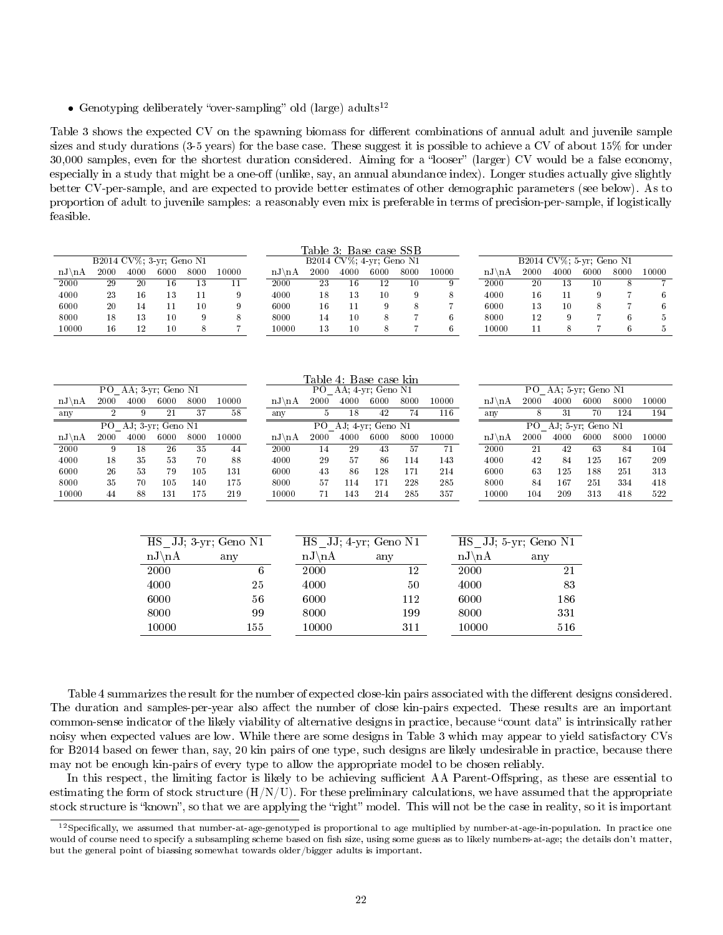• Genotyping deliberately "over-sampling" old (large) adults<sup>12</sup>

6000 56 8000 99 10000 155

Table 3 shows the expected CV on the spawning biomass for different combinations of annual adult and juvenile sample sizes and study durations (3-5 years) for the base case. These suggest it is possible to achieve a CV of about 15% for under 30,000 samples, even for the shortest duration considered. Aiming for a "looser" (larger) CV would be a false economy, especially in a study that might be a one-off (unlike, say, an annual abundance index). Longer studies actually give slightly better CV-per-sample, and are expected to provide better estimates of other demographic parameters (see below). As to proportion of adult to juvenile samples: a reasonably even mix is preferable in terms of precision-per-sample, if logistically feasible.

|                   |              |      |                          |                  |                        |                          | Table 3: Base case SSB |                          |      |                |         |                        |      |      |                          |      |                |
|-------------------|--------------|------|--------------------------|------------------|------------------------|--------------------------|------------------------|--------------------------|------|----------------|---------|------------------------|------|------|--------------------------|------|----------------|
|                   |              |      | B2014 CV%; 3-yr; Geno N1 |                  |                        |                          |                        | B2014 CV%; 4-yr; Geno N1 |      |                |         |                        |      |      | B2014 CV%; 5-yr; Geno N1 |      |                |
| $nJ\backslash nA$ | 2000         | 4000 | 6000                     | 8000             | 10000                  | $nJ\hbox{\thinspace} nA$ | 2000                   | 4000                     | 6000 | 8000           | 10000   | $nJ\hbox{\rm A}$       | 2000 | 4000 | 6000                     | 8000 | 10000          |
| 2000              | 29           | 20   | 16                       | 13               | 11                     | 2000                     | 23                     | 16                       | 12   | 10             | 9       | 2000                   | 20   | 13   | 10                       | 8    | $\overline{7}$ |
| 4000              | 23           | 16   | 13                       | 11               | 9                      | 4000                     | 18                     | 13                       | 10   | 9              | 8       | 4000                   | 16   | 11   | 9                        |      | 6              |
| 6000              | 20           | 14   | 11                       | 10 <sup>10</sup> | 9                      | 6000                     | 16                     | 11                       | 9    | 8              |         | 6000                   | 13   | 10   | 8                        |      | 6              |
| 8000              | 18           | 13   | 10                       | 9                | 8                      | 8000                     | 14                     | 10                       | 8    | $\overline{7}$ | $\,6\,$ | 8000                   | 12   | 9    | $\overline{7}$           | 6    | $5\,$          |
| 10000             | 16           | 12   | 10                       | 8                | $\overline{7}$         | 10000                    | 13                     | 10                       | 8    | $\overline{7}$ | $\,6\,$ | 10000                  | 11   | 8    | $\overline{7}$           | 6    | $5\,$          |
|                   |              |      |                          |                  |                        |                          |                        |                          |      |                |         |                        |      |      |                          |      |                |
|                   |              |      |                          |                  |                        |                          |                        |                          |      |                |         |                        |      |      |                          |      |                |
|                   |              |      |                          |                  |                        |                          |                        |                          |      |                |         |                        |      |      |                          |      |                |
|                   |              |      |                          |                  |                        |                          |                        |                          |      |                |         |                        |      |      |                          |      |                |
|                   |              |      |                          |                  |                        |                          | Table 4: Base case kin |                          |      |                |         |                        |      |      |                          |      |                |
|                   |              |      | PO AA; 3-yr; Geno N1     |                  |                        |                          |                        | PO AA: 4 vr; Geno N1     |      |                |         |                        |      |      | PO AA: 5-yr: Geno N1     |      |                |
| $nJ\backslash nA$ | 2000         | 4000 | 6000                     | 8000             | 10000                  | $nJ\hbox{\rm A}$         | 2000                   | 4000                     | 6000 | 8000           | 10000   | $nJ\hbox{\thinspace}A$ | 2000 | 4000 | 6000                     | 8000 | 10000          |
| any               | $\mathbf{2}$ | 9    | 21                       | 37               | 58                     | any                      | 5                      | 18                       | 42   | 74             | 116     | any                    | 8    | 31   | 70                       | 124  | 194            |
|                   |              |      | PO AJ; 3-yr; Geno N1     |                  |                        |                          |                        | PO AJ: 4-yr: Geno N1     |      |                |         |                        |      |      | PO AJ; 5-yr; Geno N1     |      |                |
| $nJ\backslash nA$ | 2000         | 4000 | 6000                     | 8000             | 10000                  | $nJ\backslash nA$        | 2000                   | 4000                     | 6000 | 8000           | 10000   | $nJ\backslash nA$      | 2000 | 4000 | 6000                     | 8000 | 10000          |
| 2000              | 9            | 18   | 26                       | 35               | 44                     | 2000                     | 14                     | 29                       | 43   | 57             | 71      | 2000                   | 21   | 42   | 63                       | 84   | 104            |
| 4000              |              |      |                          |                  |                        |                          | 29                     | 57                       |      | 114            |         |                        |      |      |                          | 167  | 209            |
|                   | 18           | 35   | 53                       | 70               | 88                     | 4000                     |                        |                          | 86   |                | 143     | 4000                   | 42   | 84   | 125                      |      |                |
| 6000              | 26           | 53   | 79                       | 105              | 131                    | 6000                     | 43                     | 86                       | 128  | 171            | 214     | 6000                   | 63   | 125  | 188                      | 251  | 313            |
| 8000              | 35           | 70   | 105                      | 140              | 175                    | 8000                     | 57                     | 114                      | 171  | 228            | 285     | 8000                   | 84   | 167  | 251                      | 334  | 418            |
| 10000             | 44           | 88   | 131                      | 175              | 219                    | 10000                    | 71                     | 143                      | 214  | 285            | 357     | 10000                  | 104  | 209  | 313                      | 418  | 522            |
|                   |              |      |                          |                  |                        |                          |                        |                          |      |                |         |                        |      |      |                          |      |                |
|                   |              |      |                          |                  |                        |                          |                        |                          |      |                |         |                        |      |      |                          |      |                |
|                   |              |      |                          |                  |                        |                          |                        |                          |      |                |         |                        |      |      |                          |      |                |
|                   |              |      |                          |                  | $HS$ JJ; 3-yr; Geno N1 |                          | HS JJ; 4-yr; Geno N1   |                          |      |                |         | HS JJ; 5-yr; Geno N1   |      |      |                          |      |                |
|                   |              |      | $nJ\hbox{\rm A}$         |                  | any                    |                          | $nJ\backslash nA$      |                          | any  |                |         | $nJ\backslash nA$      | any  |      |                          |      |                |
|                   |              |      | 2000                     |                  |                        | 6                        | 2000                   |                          |      | 12             |         | 2000                   |      | 21   |                          |      |                |

Table 4 summarizes the result for the number of expected close-kin pairs associated with the different designs considered. The duration and samples-per-year also affect the number of close kin-pairs expected. These results are an important common-sense indicator of the likely viability of alternative designs in practice, because "count data" is intrinsically rather noisy when expected values are low. While there are some designs in Table 3 which may appear to yield satisfactory CVs for B2014 based on fewer than, say, 20 kin pairs of one type, such designs are likely undesirable in practice, because there may not be enough kin-pairs of every type to allow the appropriate model to be chosen reliably.

6000 112 8000 199 10000 311 6000 186 8000 331 10000 516

In this respect, the limiting factor is likely to be achieving sufficient AA Parent-Offspring, as these are essential to estimating the form of stock structure  $(H/N/U)$ . For these preliminary calculations, we have assumed that the appropriate stock structure is "known", so that we are applying the "right" model. This will not be the case in reality, so it is important

 $^{12}$ Specifically, we assumed that number-at-age-genotyped is proportional to age multiplied by number-at-age-in-population. In practice one would of course need to specify a subsampling scheme based on fish size, using some guess as to likely numbers-at-age; the details don't matter, but the general point of biassing somewhat towards older/bigger adults is important.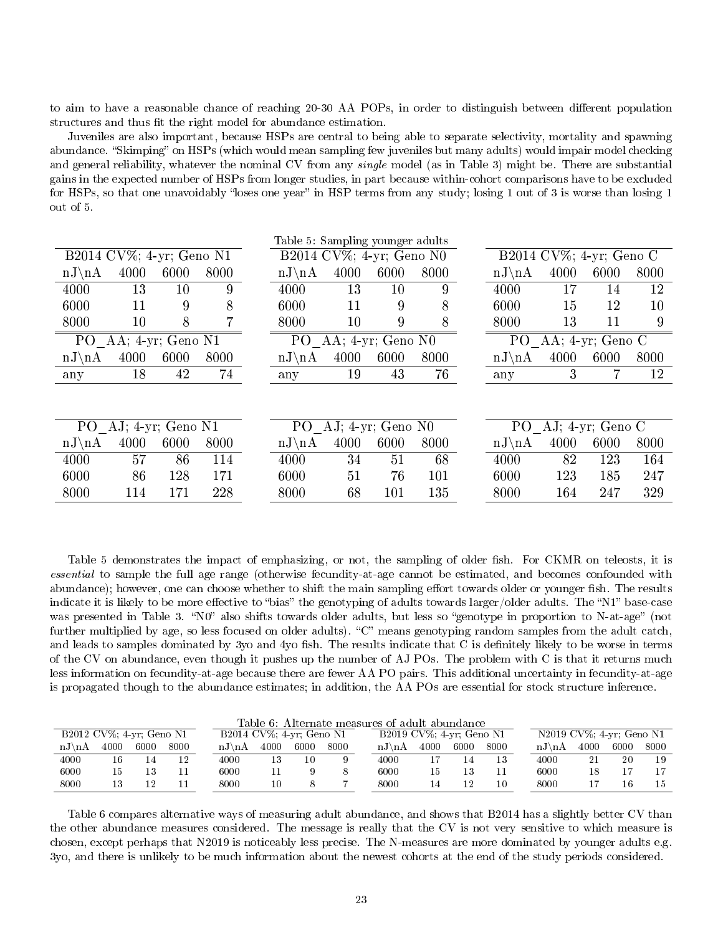to aim to have a reasonable chance of reaching 20-30 AA POPs, in order to distinguish between different population structures and thus fit the right model for abundance estimation.

Juveniles are also important, because HSPs are central to being able to separate selectivity, mortality and spawning abundance. "Skimping" on HSPs (which would mean sampling few juveniles but many adults) would impair model checking and general reliability, whatever the nominal CV from any *single* model (as in Table 3) might be. There are substantial gains in the expected number of HSPs from longer studies, in part because within-cohort comparisons have to be excluded for HSPs, so that one unavoidably "loses one year" in HSP terms from any study; losing 1 out of 3 is worse than losing 1 out of 5.

| B2014 CV%; 4-yr; Geno N1<br>$\overline{B2014}$ CV%; 4-yr; Geno N0<br>$\overline{B2014}$ CV%; 4-yr; Geno C                        |              |
|----------------------------------------------------------------------------------------------------------------------------------|--------------|
|                                                                                                                                  |              |
| 4000<br>$nJ\backslash nA$<br>4000<br>8000<br>4000<br>6000<br>8000<br>$nJ\backslash nA$<br>6000<br>$nJ\backslash nA$              | 6000<br>8000 |
| 9<br>4000<br>13<br>10<br>4000<br>13<br>10<br>9<br>4000<br>$17\,$                                                                 | 12<br>14     |
| 8<br>9<br>8<br>6000<br>11<br>9<br>6000<br>6000<br>11<br>15                                                                       | 12<br>10     |
| 8000<br>10<br>9<br>8000<br>8<br>8000<br>10<br>8<br>13                                                                            | 11<br>9      |
| P <sub>O</sub><br>AA; $4$ -yr; Geno N1<br>PO.<br>P <sub>O</sub><br>AA; $4$ -yr; Geno N0<br>AA; 4-yr; Geno C                      |              |
| 4000<br>6000<br>8000<br>4000<br>6000<br>6000<br>$nJ\backslash nA$<br>4000<br>8000<br>$nJ\backslash nA$<br>$nJ\hbox{\thinspace}A$ | 8000         |
| 74<br>76<br>18<br>42<br>43<br>3<br>19<br>any<br>any<br>any                                                                       | 12           |
|                                                                                                                                  |              |
|                                                                                                                                  |              |
| PO AJ; 4-yr; Geno N1<br>PO AJ; 4-yr; Geno C<br>P <sub>O</sub><br>AJ; 4-yr; Geno N0                                               |              |
| 4000<br>4000<br>6000<br>8000<br>4000<br>6000<br>8000<br>6000<br>$nJ\backslash nA$<br>$nJ\hbox{\rm A}$<br>$nJ\backslash nA$       | 8000         |
| 57<br>86<br>114<br>68<br>4000<br>4000<br>4000<br>34<br>51<br>82                                                                  | 123<br>164   |
| 171<br>76<br>6000<br>86<br>128<br>51<br>101<br>6000<br>6000<br>123                                                               | 185<br>247   |
| 228<br>135<br>8000<br>114<br>171<br>8000<br>68<br>8000<br>164<br>101                                                             | 329<br>247   |

Table 5 demonstrates the impact of emphasizing, or not, the sampling of older fish. For CKMR on teleosts, it is essential to sample the full age range (otherwise fecundity-at-age cannot be estimated, and becomes confounded with abundance); however, one can choose whether to shift the main sampling effort towards older or younger fish. The results indicate it is likely to be more effective to "bias" the genotyping of adults towards larger/older adults. The "N1" base-case was presented in Table 3. "N0" also shifts towards older adults, but less so "genotype in proportion to N-at-age" (not further multiplied by age, so less focused on older adults). "C" means genotyping random samples from the adult catch, and leads to samples dominated by 3yo and 4yo fish. The results indicate that C is definitely likely to be worse in terms of the CV on abundance, even though it pushes up the number of AJ POs. The problem with C is that it returns much less information on fecundity-at-age because there are fewer AA PO pairs. This additional uncertainty in fecundity-at-age is propagated though to the abundance estimates; in addition, the AA POs are essential for stock structure inference.

|                          |      |      |      |                        |                             |      |      |  | Table 6: Alternate measures of adult abundance |                          |      |      |  |                        |                          |      |      |  |
|--------------------------|------|------|------|------------------------|-----------------------------|------|------|--|------------------------------------------------|--------------------------|------|------|--|------------------------|--------------------------|------|------|--|
| B2012 CV%; 4-yr; Geno N1 |      |      |      |                        | B2014 CV%; $4$ -yr; Geno N1 |      |      |  |                                                | B2019 CV%; 4-yr; Geno N1 |      |      |  |                        | N2019 CV%; 4-yr; Geno N1 |      |      |  |
| $nJ\$ nA                 | 4000 | 6000 | 8000 | $nJ \nightharpoonup A$ | 4000                        | 6000 | 8000 |  | $nJ \nightharpoonup A$                         | 4000                     | 6000 | 8000 |  | $nJ \nightharpoonup A$ | 4000                     | 6000 | 8000 |  |
| 4000                     | 16   |      | 12   | 4000                   |                             | 10   |      |  | 4000                                           |                          |      | 13   |  | 4000                   | 21                       | 20   | 19   |  |
| 6000                     | 15   |      |      | 6000                   |                             |      |      |  | 6000                                           | 15                       | 13   |      |  | 6000                   |                          |      |      |  |
| 8000                     |      | 12   |      | 8000                   | 10                          |      |      |  | 8000                                           | 14                       | 12   | 10   |  | 8000                   |                          |      | 15   |  |

Table 6 compares alternative ways of measuring adult abundance, and shows that B2014 has a slightly better CV than the other abundance measures considered. The message is really that the CV is not very sensitive to which measure is chosen, except perhaps that N2019 is noticeably less precise. The N-measures are more dominated by younger adults e.g. 3yo, and there is unlikely to be much information about the newest cohorts at the end of the study periods considered.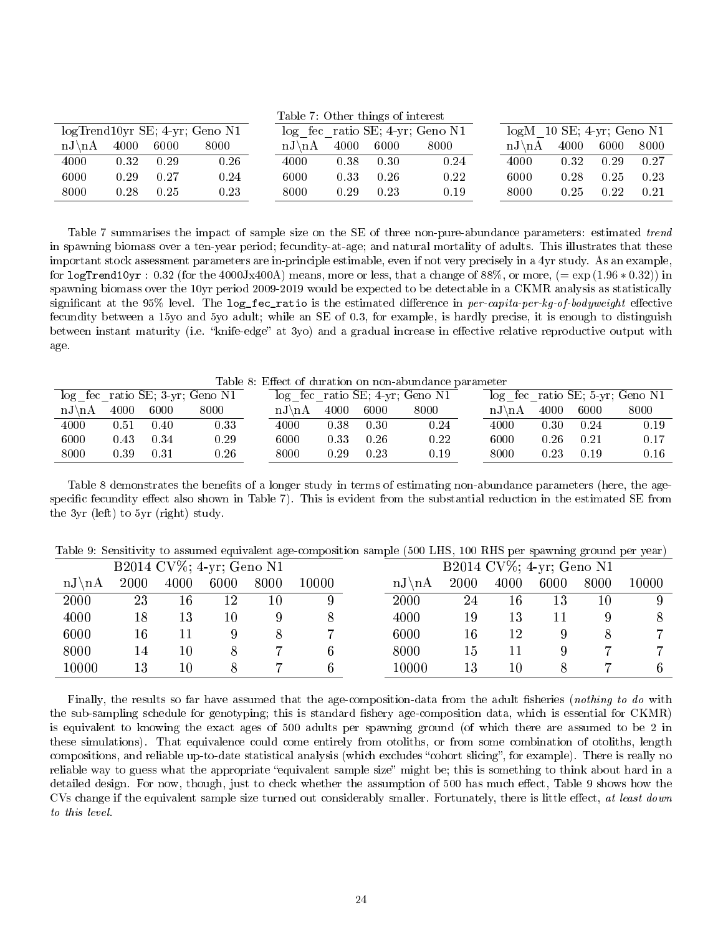|                                   |      |      |          |  | Table 7: Other things of interest |      |      |      |  |                        |                              |      |      |  |  |
|-----------------------------------|------|------|----------|--|-----------------------------------|------|------|------|--|------------------------|------------------------------|------|------|--|--|
| $logTrend10yr SE$ ; 4-yr; Geno N1 |      |      |          |  | $log$ fec ratio SE; 4-yr; Geno N1 |      |      |      |  |                        | $log M$ 10 SE; 4-yr; Geno N1 |      |      |  |  |
| $nJ\$ nA                          | 4000 | 6000 | 8000     |  | $nJ \nightharpoonup nA$           | 4000 | 6000 | 8000 |  | $nJ \nightharpoonup A$ | 4000                         | 6000 | 8000 |  |  |
| 4000                              | 0.32 | 0.29 | 0.26     |  | 4000                              | 0.38 | 0.30 | 0.24 |  | 4000                   | 0.32                         | 0.29 | 0.27 |  |  |
| 6000                              | 0.29 | 0.27 | 0.24     |  | 6000                              | 0.33 | 0.26 | 0.22 |  | 6000                   | 0.28                         | 0.25 | 0.23 |  |  |
| 8000                              | 0.28 | 0.25 | $0.23\,$ |  | 8000                              | 0.29 | 0.23 | 0.19 |  | 8000                   | 0.25                         | 0.22 | 0.21 |  |  |

Table 7 summarises the impact of sample size on the SE of three non-pure-abundance parameters: estimated trend in spawning biomass over a ten-year period; fecundity-at-age; and natural mortality of adults. This illustrates that these important stock assessment parameters are in-principle estimable, even if not very precisely in a 4yr study. As an example, for logTrend10yr :  $0.32$  (for the 4000Jx400A) means, more or less, that a change of 88%, or more,  $(=\exp(1.96 * 0.32))$  in spawning biomass over the 10yr period 2009-2019 would be expected to be detectable in a CKMR analysis as statistically significant at the 95% level. The log\_fec\_ratio is the estimated difference in per-capita-per-kg-of-bodyweight effective fecundity between a 15yo and 5yo adult; while an SE of 0.3, for example, is hardly precise, it is enough to distinguish between instant maturity (i.e. "knife-edge" at 3yo) and a gradual increase in effective relative reproductive output with age.

Table 8: Effect of duration on non-abundance parameter

|            | $log$ fec ratio SE; 3-yr; Geno N1 |      |      |  | $log$ fec ratio SE; 4-yr; Geno N1 |      |      |          | $log$ fec ratio SE; 5-yr; Geno N1 |      |      |      |  |  |
|------------|-----------------------------------|------|------|--|-----------------------------------|------|------|----------|-----------------------------------|------|------|------|--|--|
| $nJ\$ $nA$ | 4000                              | 6000 | 8000 |  | $nJ\$ nA                          | 4000 | 6000 | 8000     | $nJ\$ nA                          | 4000 | 6000 | 8000 |  |  |
| 4000       | 9.51                              | 0.40 | 0.33 |  | 4000                              | 0.38 | 0.30 | 0.24     | 4000                              | 0.30 | 0.24 | 0.19 |  |  |
| 6000       | $0.43\,$                          | 0.34 | 0.29 |  | 6000                              | 0.33 | 0.26 | $0.22\,$ | 6000                              | 0.26 | 0.21 | 0.17 |  |  |
| 8000       | 0.39                              | 0.31 | 0.26 |  | 8000                              | 0.29 | 0.23 | 0.19     | 8000                              | 0.23 | 0.19 | 0.16 |  |  |

Table 8 demonstrates the benefits of a longer study in terms of estimating non-abundance parameters (here, the agespecific fecundity effect also shown in Table 7). This is evident from the substantial reduction in the estimated SE from the 3yr (left) to 5yr (right) study.

| Table 9: Sensitivity to assumed equivalent age-composition sample (500 LHS, 100 RHS per spawning ground per year) |  |  |  |
|-------------------------------------------------------------------------------------------------------------------|--|--|--|
|-------------------------------------------------------------------------------------------------------------------|--|--|--|

|          |      |      | B2014 CV%; 4-yr; Geno N1 |      |       |                                 |      | $\overline{B2014}$ CV%; 4-yr; Geno N1 |      |      |           |
|----------|------|------|--------------------------|------|-------|---------------------------------|------|---------------------------------------|------|------|-----------|
| $nJ\$ nA | 2000 | 4000 | 6000                     | 8000 | 10000 | $nJ\hbox{\rm\thinspace}\lambda$ | 2000 | 4000                                  | 6000 | 8000 | $10000\,$ |
| 2000     | 23   | 16   | 12                       | 10   |       | 2000                            | 24   | 16                                    | 13   | 10   |           |
| 4000     | 18   | 13   | 10                       |      |       | 4000                            | 19   | 13                                    | 11   |      |           |
| 6000     | 16   |      |                          |      |       | 6000                            | 16   | 12                                    |      |      |           |
| 8000     | 14   | 10   |                          |      |       | 8000                            | 15   | 11                                    |      |      |           |
| 10000    | 13   | 10   |                          |      |       | 10000                           | 13   | $10\,$                                |      |      |           |

Finally, the results so far have assumed that the age-composition-data from the adult fisheries (nothing to do with the sub-sampling schedule for genotyping; this is standard fishery age-composition data, which is essential for CKMR) is equivalent to knowing the exact ages of 500 adults per spawning ground (of which there are assumed to be 2 in these simulations). That equivalence could come entirely from otoliths, or from some combination of otoliths, length compositions, and reliable up-to-date statistical analysis (which excludes "cohort slicing", for example). There is really no reliable way to guess what the appropriate "equivalent sample size" might be; this is something to think about hard in a detailed design. For now, though, just to check whether the assumption of 500 has much effect, Table 9 shows how the CVs change if the equivalent sample size turned out considerably smaller. Fortunately, there is little effect, at least down to this level.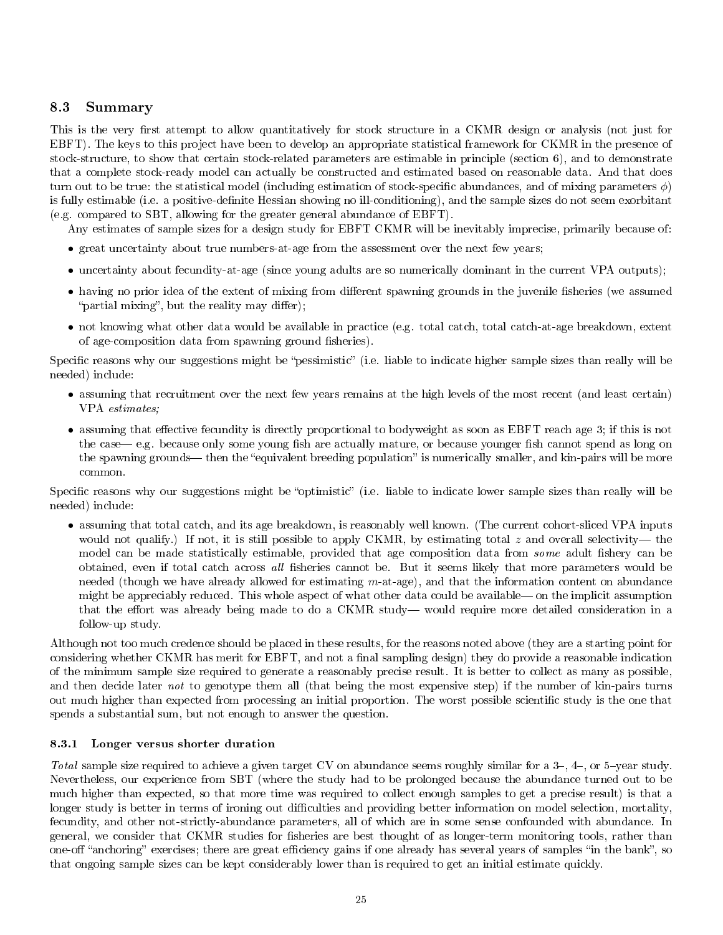## 8.3 Summary

This is the very first attempt to allow quantitatively for stock structure in a CKMR design or analysis (not just for EBFT). The keys to this project have been to develop an appropriate statistical framework for CKMR in the presence of stock-structure, to show that certain stock-related parameters are estimable in principle (section 6), and to demonstrate that a complete stock-ready model can actually be constructed and estimated based on reasonable data. And that does turn out to be true: the statistical model (including estimation of stock-specific abundances, and of mixing parameters  $\phi$ ) is fully estimable (i.e. a positive-definite Hessian showing no ill-conditioning), and the sample sizes do not seem exorbitant (e.g. compared to SBT, allowing for the greater general abundance of EBFT).

Any estimates of sample sizes for a design study for EBFT CKMR will be inevitably imprecise, primarily because of:

- great uncertainty about true numbers-at-age from the assessment over the next few years;
- uncertainty about fecundity-at-age (since young adults are so numerically dominant in the current VPA outputs);
- having no prior idea of the extent of mixing from different spawning grounds in the juvenile fisheries (we assumed "partial mixing", but the reality may differ);
- not knowing what other data would be available in practice (e.g. total catch, total catch-at-age breakdown, extent of age-composition data from spawning ground fisheries).

Specific reasons why our suggestions might be "pessimistic" (i.e. liable to indicate higher sample sizes than really will be needed) include:

- assuming that recruitment over the next few years remains at the high levels of the most recent (and least certain) VPA estimates;
- assuming that effective fecundity is directly proportional to bodyweight as soon as EBFT reach age 3; if this is not the case— e.g. because only some young fish are actually mature, or because younger fish cannot spend as long on the spawning grounds— then the "equivalent breeding population" is numerically smaller, and kin-pairs will be more common.

Specific reasons why our suggestions might be "optimistic" (i.e. liable to indicate lower sample sizes than really will be needed) include:

• assuming that total catch, and its age breakdown, is reasonably well known. (The current cohort-sliced VPA inputs would not qualify.) If not, it is still possible to apply CKMR, by estimating total z and overall selectivity— the model can be made statistically estimable, provided that age composition data from *some* adult fishery can be obtained, even if total catch across all fisheries cannot be. But it seems likely that more parameters would be needed (though we have already allowed for estimating m-at-age), and that the information content on abundance might be appreciably reduced. This whole aspect of what other data could be available— on the implicit assumption that the effort was already being made to do a CKMR study—would require more detailed consideration in a follow-up study.

Although not too much credence should be placed in these results, for the reasons noted above (they are a starting point for considering whether CKMR has merit for EBFT, and not a final sampling design) they do provide a reasonable indication of the minimum sample size required to generate a reasonably precise result. It is better to collect as many as possible, and then decide later not to genotype them all (that being the most expensive step) if the number of kin-pairs turns out much higher than expected from processing an initial proportion. The worst possible scientific study is the one that spends a substantial sum, but not enough to answer the question.

### 8.3.1 Longer versus shorter duration

Total sample size required to achieve a given target CV on abundance seems roughly similar for a  $3-$ ,  $4-$ , or  $5$ -year study. Nevertheless, our experience from SBT (where the study had to be prolonged because the abundance turned out to be much higher than expected, so that more time was required to collect enough samples to get a precise result) is that a longer study is better in terms of ironing out difficulties and providing better information on model selection, mortality, fecundity, and other not-strictly-abundance parameters, all of which are in some sense confounded with abundance. In general, we consider that CKMR studies for fisheries are best thought of as longer-term monitoring tools, rather than one-off "anchoring" exercises; there are great efficiency gains if one already has several years of samples "in the bank", so that ongoing sample sizes can be kept considerably lower than is required to get an initial estimate quickly.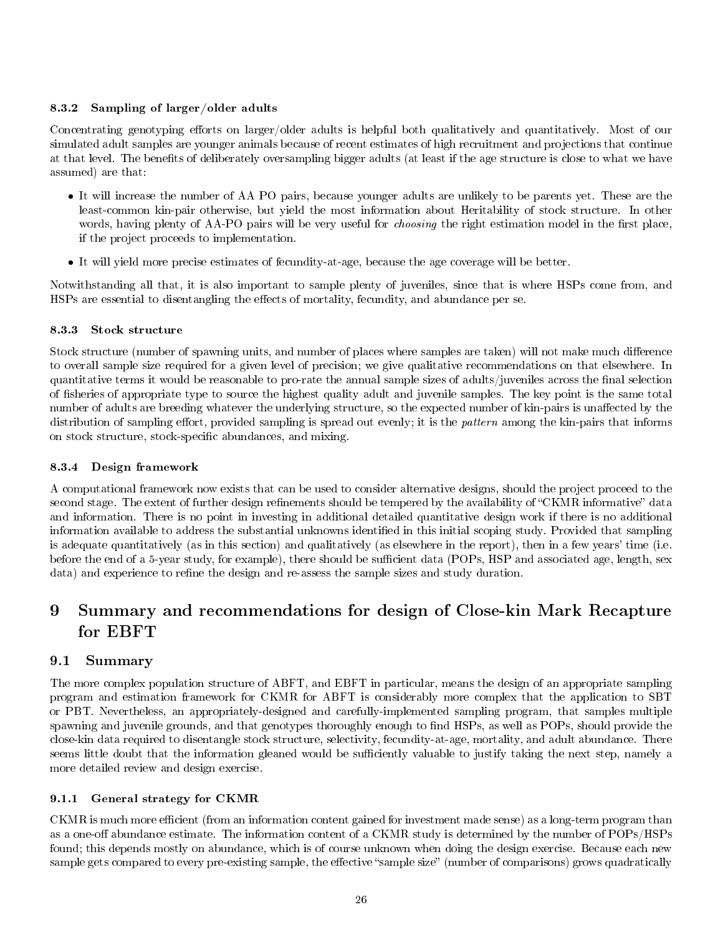## 8.3.2 Sampling of larger/older adults

Concentrating genotyping efforts on larger/older adults is helpful both qualitatively and quantitatively. Most of our simulated adult samples are younger animals because of recent estimates of high recruitment and projections that continue at that level. The benets of deliberately oversampling bigger adults (at least if the age structure is close to what we have assumed) are that:

- It will increase the number of AA PO pairs, because younger adults are unlikely to be parents yet. These are the least-common kin-pair otherwise, but yield the most information about Heritability of stock structure. In other words, having plenty of AA-PO pairs will be very useful for *choosing* the right estimation model in the first place, if the project proceeds to implementation.
- It will yield more precise estimates of fecundity-at-age, because the age coverage will be better.

Notwithstanding all that, it is also important to sample plenty of juveniles, since that is where HSPs come from, and HSPs are essential to disentangling the effects of mortality, fecundity, and abundance per se.

## 8.3.3 Stock structure

Stock structure (number of spawning units, and number of places where samples are taken) will not make much difference to overall sample size required for a given level of precision; we give qualitative recommendations on that elsewhere. In quantitative terms it would be reasonable to pro-rate the annual sample sizes of adults/juveniles across the final selection of sheries of appropriate type to source the highest quality adult and juvenile samples. The key point is the same total number of adults are breeding whatever the underlying structure, so the expected number of kin-pairs is unaffected by the distribution of sampling effort, provided sampling is spread out evenly; it is the *pattern* among the kin-pairs that informs on stock structure, stock-specific abundances, and mixing.

## 8.3.4 Design framework

A computational framework now exists that can be used to consider alternative designs, should the project proceed to the second stage. The extent of further design refinements should be tempered by the availability of "CKMR informative" data and information. There is no point in investing in additional detailed quantitative design work if there is no additional information available to address the substantial unknowns identified in this initial scoping study. Provided that sampling is adequate quantitatively (as in this section) and qualitatively (as elsewhere in the report), then in a few years' time (i.e. before the end of a 5-year study, for example), there should be sufficient data (POPs, HSP and associated age, length, sex data) and experience to refine the design and re-assess the sample sizes and study duration.

# 9 Summary and recommendations for design of Close-kin Mark Recapture for EBFT

## 9.1 Summary

The more complex population structure of ABFT, and EBFT in particular, means the design of an appropriate sampling program and estimation framework for CKMR for ABFT is considerably more complex that the application to SBT or PBT. Nevertheless, an appropriately-designed and carefully-implemented sampling program, that samples multiple spawning and juvenile grounds, and that genotypes thoroughly enough to find HSPs, as well as POPs, should provide the close-kin data required to disentangle stock structure, selectivity, fecundity-at-age, mortality, and adult abundance. There seems little doubt that the information gleaned would be sufficiently valuable to justify taking the next step, namely a more detailed review and design exercise.

## 9.1.1 General strategy for CKMR

CKMR is much more efficient (from an information content gained for investment made sense) as a long-term program than as a one-off abundance estimate. The information content of a CKMR study is determined by the number of POPs/HSPs found; this depends mostly on abundance, which is of course unknown when doing the design exercise. Because each new sample gets compared to every pre-existing sample, the effective "sample size" (number of comparisons) grows quadratically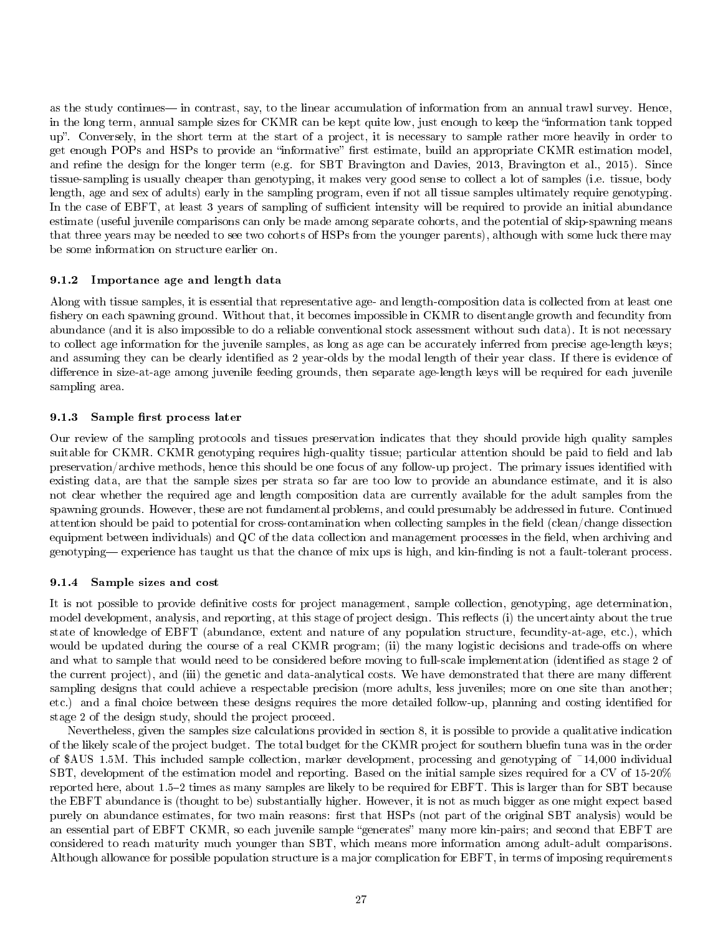as the study continues— in contrast, say, to the linear accumulation of information from an annual trawl survey. Hence, in the long term, annual sample sizes for CKMR can be kept quite low, just enough to keep the "information tank topped up". Conversely, in the short term at the start of a project, it is necessary to sample rather more heavily in order to get enough POPs and HSPs to provide an "informative" first estimate, build an appropriate CKMR estimation model, and refine the design for the longer term (e.g. for SBT Bravington and Davies, 2013, Bravington et al., 2015). Since tissue-sampling is usually cheaper than genotyping, it makes very good sense to collect a lot of samples (i.e. tissue, body length, age and sex of adults) early in the sampling program, even if not all tissue samples ultimately require genotyping. In the case of EBFT, at least 3 years of sampling of sufficient intensity will be required to provide an initial abundance estimate (useful juvenile comparisons can only be made among separate cohorts, and the potential of skip-spawning means that three years may be needed to see two cohorts of HSPs from the younger parents), although with some luck there may be some information on structure earlier on.

#### 9.1.2 Importance age and length data

Along with tissue samples, it is essential that representative age- and length-composition data is collected from at least one fishery on each spawning ground. Without that, it becomes impossible in CKMR to disentangle growth and fecundity from abundance (and it is also impossible to do a reliable conventional stock assessment without such data). It is not necessary to collect age information for the juvenile samples, as long as age can be accurately inferred from precise age-length keys; and assuming they can be clearly identified as 2 year-olds by the modal length of their year class. If there is evidence of difference in size-at-age among juvenile feeding grounds, then separate age-length keys will be required for each juvenile sampling area.

#### 9.1.3 Sample first process later

Our review of the sampling protocols and tissues preservation indicates that they should provide high quality samples suitable for CKMR. CKMR genotyping requires high-quality tissue; particular attention should be paid to field and lab preservation/archive methods, hence this should be one focus of any follow-up project. The primary issues identified with existing data, are that the sample sizes per strata so far are too low to provide an abundance estimate, and it is also not clear whether the required age and length composition data are currently available for the adult samples from the spawning grounds. However, these are not fundamental problems, and could presumably be addressed in future. Continued attention should be paid to potential for cross-contamination when collecting samples in the field (clean/change dissection equipment between individuals) and QC of the data collection and management processes in the field, when archiving and genotyping— experience has taught us that the chance of mix ups is high, and kin-finding is not a fault-tolerant process.

#### 9.1.4 Sample sizes and cost

It is not possible to provide definitive costs for project management, sample collection, genotyping, age determination, model development, analysis, and reporting, at this stage of project design. This reflects (i) the uncertainty about the true state of knowledge of EBFT (abundance, extent and nature of any population structure, fecundity-at-age, etc.), which would be updated during the course of a real CKMR program; (ii) the many logistic decisions and trade-offs on where and what to sample that would need to be considered before moving to full-scale implementation (identified as stage 2 of the current project), and (iii) the genetic and data-analytical costs. We have demonstrated that there are many different sampling designs that could achieve a respectable precision (more adults, less juveniles; more on one site than another; etc.) and a final choice between these designs requires the more detailed follow-up, planning and costing identified for stage 2 of the design study, should the project proceed.

Nevertheless, given the samples size calculations provided in section 8, it is possible to provide a qualitative indication of the likely scale of the project budget. The total budget for the CKMR project for southern bluefin tuna was in the order of \$AUS 1.5M. This included sample collection, marker development, processing and genotyping of ~14,000 individual SBT, development of the estimation model and reporting. Based on the initial sample sizes required for a CV of 15-20% reported here, about 1.52 times as many samples are likely to be required for EBFT. This is larger than for SBT because the EBFT abundance is (thought to be) substantially higher. However, it is not as much bigger as one might expect based purely on abundance estimates, for two main reasons: first that HSPs (not part of the original SBT analysis) would be an essential part of EBFT CKMR, so each juvenile sample "generates" many more kin-pairs; and second that EBFT are considered to reach maturity much younger than SBT, which means more information among adult-adult comparisons. Although allowance for possible population structure is a major complication for EBFT, in terms of imposing requirements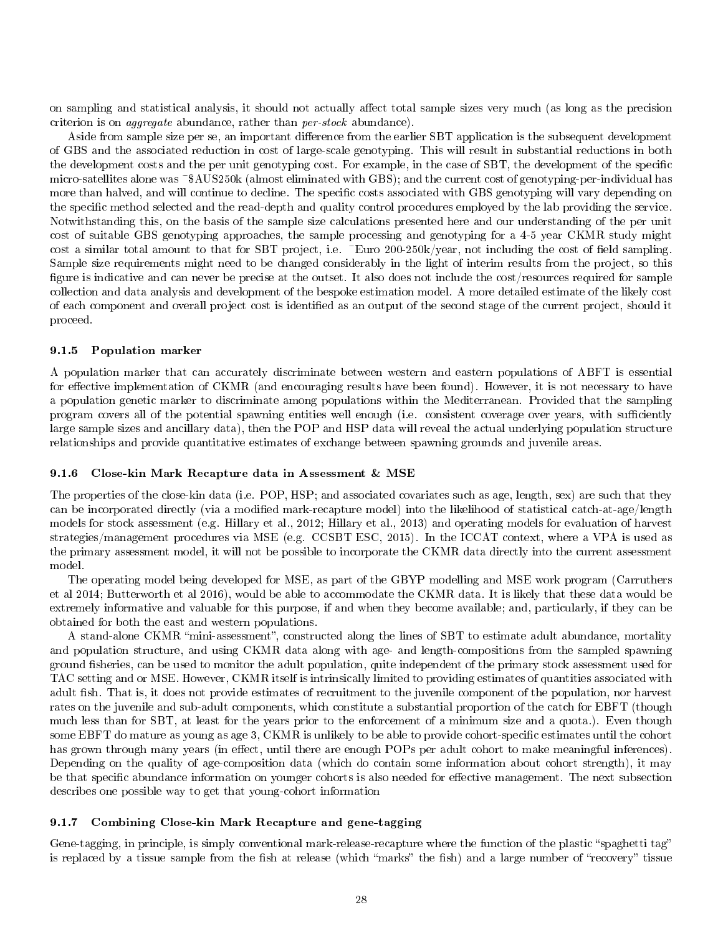on sampling and statistical analysis, it should not actually affect total sample sizes very much (as long as the precision criterion is on aggregate abundance, rather than per-stock abundance).

Aside from sample size per se, an important difference from the earlier SBT application is the subsequent development of GBS and the associated reduction in cost of large-scale genotyping. This will result in substantial reductions in both the development costs and the per unit genotyping cost. For example, in the case of SBT, the development of the specific micro-satellites alone was ~\$AUS250k (almost eliminated with GBS); and the current cost of genotyping-per-individual has more than halved, and will continue to decline. The specific costs associated with GBS genotyping will vary depending on the specific method selected and the read-depth and quality control procedures employed by the lab providing the service. Notwithstanding this, on the basis of the sample size calculations presented here and our understanding of the per unit cost of suitable GBS genotyping approaches, the sample processing and genotyping for a 4-5 year CKMR study might cost a similar total amount to that for SBT project, i.e. ~Euro 200-250k/year, not including the cost of field sampling. Sample size requirements might need to be changed considerably in the light of interim results from the project, so this figure is indicative and can never be precise at the outset. It also does not include the cost/resources required for sample collection and data analysis and development of the bespoke estimation model. A more detailed estimate of the likely cost of each component and overall project cost is identied as an output of the second stage of the current project, should it proceed.

#### 9.1.5 Population marker

A population marker that can accurately discriminate between western and eastern populations of ABFT is essential for effective implementation of CKMR (and encouraging results have been found). However, it is not necessary to have a population genetic marker to discriminate among populations within the Mediterranean. Provided that the sampling program covers all of the potential spawning entities well enough (i.e. consistent coverage over years, with sufficiently large sample sizes and ancillary data), then the POP and HSP data will reveal the actual underlying population structure relationships and provide quantitative estimates of exchange between spawning grounds and juvenile areas.

#### 9.1.6 Close-kin Mark Recapture data in Assessment & MSE

The properties of the close-kin data (i.e. POP, HSP; and associated covariates such as age, length, sex) are such that they can be incorporated directly (via a modified mark-recapture model) into the likelihood of statistical catch-at-age/length models for stock assessment (e.g. Hillary et al., 2012; Hillary et al., 2013) and operating models for evaluation of harvest strategies/management procedures via MSE (e.g. CCSBT ESC, 2015). In the ICCAT context, where a VPA is used as the primary assessment model, it will not be possible to incorporate the CKMR data directly into the current assessment model.

The operating model being developed for MSE, as part of the GBYP modelling and MSE work program (Carruthers et al 2014; Butterworth et al 2016), would be able to accommodate the CKMR data. It is likely that these data would be extremely informative and valuable for this purpose, if and when they become available; and, particularly, if they can be obtained for both the east and western populations.

A stand-alone CKMR "mini-assessment", constructed along the lines of SBT to estimate adult abundance, mortality and population structure, and using CKMR data along with age- and length-compositions from the sampled spawning ground fisheries, can be used to monitor the adult population, quite independent of the primary stock assessment used for TAC setting and or MSE. However, CKMR itself is intrinsically limited to providing estimates of quantities associated with adult fish. That is, it does not provide estimates of recruitment to the juvenile component of the population, nor harvest rates on the juvenile and sub-adult components, which constitute a substantial proportion of the catch for EBFT (though much less than for SBT, at least for the years prior to the enforcement of a minimum size and a quota.). Even though some EBFT do mature as young as age 3, CKMR is unlikely to be able to provide cohort-specific estimates until the cohort has grown through many years (in effect, until there are enough POPs per adult cohort to make meaningful inferences). Depending on the quality of age-composition data (which do contain some information about cohort strength), it may be that specific abundance information on younger cohorts is also needed for effective management. The next subsection describes one possible way to get that young-cohort information

#### 9.1.7 Combining Close-kin Mark Recapture and gene-tagging

Gene-tagging, in principle, is simply conventional mark-release-recapture where the function of the plastic "spaghetti tag" is replaced by a tissue sample from the fish at release (which "marks" the fish) and a large number of "recovery" tissue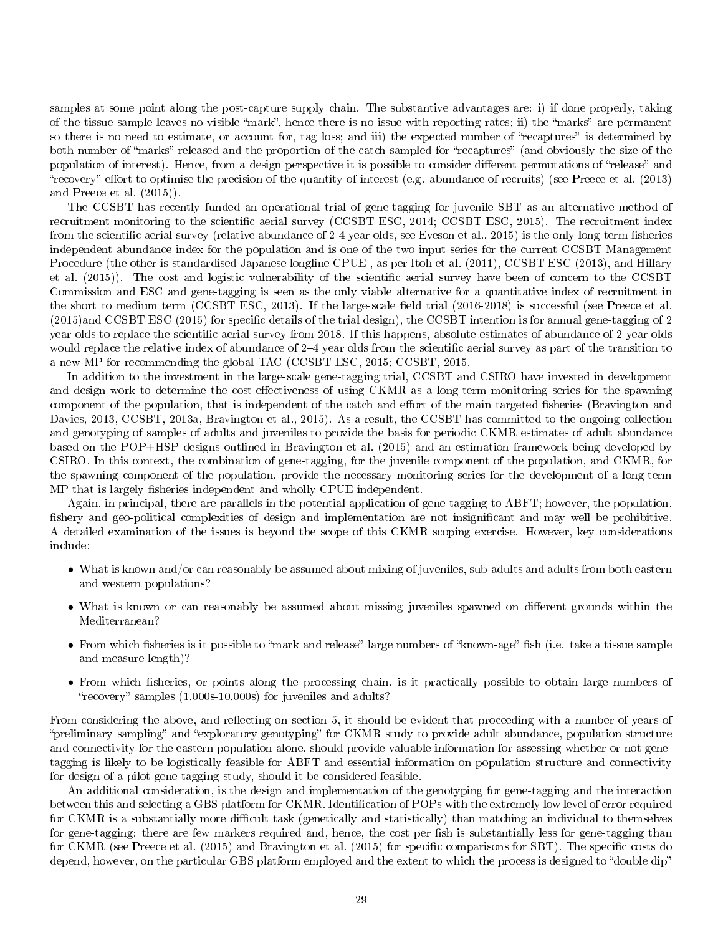samples at some point along the post-capture supply chain. The substantive advantages are: i) if done properly, taking of the tissue sample leaves no visible "mark", hence there is no issue with reporting rates; ii) the "marks" are permanent so there is no need to estimate, or account for, tag loss; and iii) the expected number of "recaptures" is determined by both number of "marks" released and the proportion of the catch sampled for "recaptures" (and obviously the size of the population of interest). Hence, from a design perspective it is possible to consider different permutations of "release" and "recovery" effort to optimise the precision of the quantity of interest (e.g. abundance of recruits) (see Preece et al.  $(2013)$ ) and Preece et al. (2015)).

The CCSBT has recently funded an operational trial of gene-tagging for juvenile SBT as an alternative method of recruitment monitoring to the scientific aerial survey (CCSBT ESC, 2014; CCSBT ESC, 2015). The recruitment index from the scientific aerial survey (relative abundance of 2-4 year olds, see Eveson et al., 2015) is the only long-term fisheries independent abundance index for the population and is one of the two input series for the current CCSBT Management Procedure (the other is standardised Japanese longline CPUE , as per Itoh et al. (2011), CCSBT ESC (2013), and Hillary et al. (2015)). The cost and logistic vulnerability of the scientific aerial survey have been of concern to the CCSBT Commission and ESC and gene-tagging is seen as the only viable alternative for a quantitative index of recruitment in the short to medium term (CCSBT ESC, 2013). If the large-scale field trial (2016-2018) is successful (see Preece et al.  $(2015)$ and CCSBT ESC (2015) for specific details of the trial design), the CCSBT intention is for annual gene-tagging of 2 year olds to replace the scientific aerial survey from 2018. If this happens, absolute estimates of abundance of 2 year olds would replace the relative index of abundance of 2–4 year olds from the scientific aerial survey as part of the transition to a new MP for recommending the global TAC (CCSBT ESC, 2015; CCSBT, 2015.

In addition to the investment in the large-scale gene-tagging trial, CCSBT and CSIRO have invested in development and design work to determine the cost-effectiveness of using CKMR as a long-term monitoring series for the spawning component of the population, that is independent of the catch and effort of the main targeted fisheries (Bravington and Davies, 2013, CCSBT, 2013a, Bravington et al., 2015). As a result, the CCSBT has committed to the ongoing collection and genotyping of samples of adults and juveniles to provide the basis for periodic CKMR estimates of adult abundance based on the POP+HSP designs outlined in Bravington et al. (2015) and an estimation framework being developed by CSIRO. In this context, the combination of gene-tagging, for the juvenile component of the population, and CKMR, for the spawning component of the population, provide the necessary monitoring series for the development of a long-term MP that is largely fisheries independent and wholly CPUE independent.

Again, in principal, there are parallels in the potential application of gene-tagging to ABFT; however, the population, fishery and geo-political complexities of design and implementation are not insignificant and may well be prohibitive. A detailed examination of the issues is beyond the scope of this CKMR scoping exercise. However, key considerations include:

- What is known and/or can reasonably be assumed about mixing of juveniles, sub-adults and adults from both eastern and western populations?
- What is known or can reasonably be assumed about missing juveniles spawned on different grounds within the Mediterranean?
- From which fisheries is it possible to "mark and release" large numbers of "known-age" fish (i.e. take a tissue sample and measure length)?
- From which fisheries, or points along the processing chain, is it practically possible to obtain large numbers of " $recovers'$ " samples  $(1,000s-10,000s)$  for juveniles and adults?

From considering the above, and reflecting on section 5, it should be evident that proceeding with a number of years of "preliminary sampling" and "exploratory genotyping" for CKMR study to provide adult abundance, population structure and connectivity for the eastern population alone, should provide valuable information for assessing whether or not genetagging is likely to be logistically feasible for ABFT and essential information on population structure and connectivity for design of a pilot gene-tagging study, should it be considered feasible.

An additional consideration, is the design and implementation of the genotyping for gene-tagging and the interaction between this and selecting a GBS platform for CKMR. Identification of POPs with the extremely low level of error required for CKMR is a substantially more difficult task (genetically and statistically) than matching an individual to themselves for gene-tagging: there are few markers required and, hence, the cost per fish is substantially less for gene-tagging than for CKMR (see Preece et al. (2015) and Bravington et al. (2015) for specific comparisons for SBT). The specific costs do depend, however, on the particular GBS platform employed and the extent to which the process is designed to "double dip"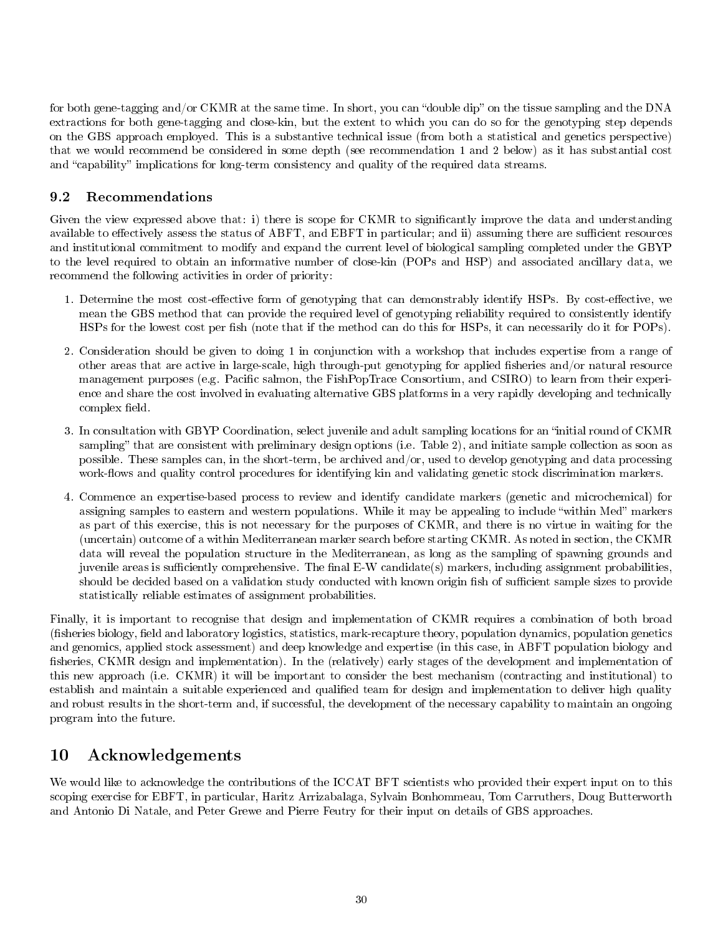for both gene-tagging and/or CKMR at the same time. In short, you can "double dip" on the tissue sampling and the DNA extractions for both gene-tagging and close-kin, but the extent to which you can do so for the genotyping step depends on the GBS approach employed. This is a substantive technical issue (from both a statistical and genetics perspective) that we would recommend be considered in some depth (see recommendation 1 and 2 below) as it has substantial cost and "capability" implications for long-term consistency and quality of the required data streams.

# 9.2 Recommendations

Given the view expressed above that: i) there is scope for CKMR to significantly improve the data and understanding available to effectively assess the status of ABFT, and EBFT in particular; and ii) assuming there are sufficient resources and institutional commitment to modify and expand the current level of biological sampling completed under the GBYP to the level required to obtain an informative number of close-kin (POPs and HSP) and associated ancillary data, we recommend the following activities in order of priority:

- 1. Determine the most cost-effective form of genotyping that can demonstrably identify HSPs. By cost-effective, we mean the GBS method that can provide the required level of genotyping reliability required to consistently identify HSPs for the lowest cost per fish (note that if the method can do this for HSPs, it can necessarily do it for POPs).
- 2. Consideration should be given to doing 1 in conjunction with a workshop that includes expertise from a range of other areas that are active in large-scale, high through-put genotyping for applied fisheries and/or natural resource management purposes (e.g. Pacific salmon, the FishPopTrace Consortium, and CSIRO) to learn from their experience and share the cost involved in evaluating alternative GBS platforms in a very rapidly developing and technically complex field.
- 3. In consultation with GBYP Coordination, select juvenile and adult sampling locations for an "initial round of CKMR sampling" that are consistent with preliminary design options (i.e. Table 2), and initiate sample collection as soon as possible. These samples can, in the short-term, be archived and/or, used to develop genotyping and data processing work-flows and quality control procedures for identifying kin and validating genetic stock discrimination markers.
- 4. Commence an expertise-based process to review and identify candidate markers (genetic and microchemical) for assigning samples to eastern and western populations. While it may be appealing to include "within Med" markers as part of this exercise, this is not necessary for the purposes of CKMR, and there is no virtue in waiting for the (uncertain) outcome of a within Mediterranean marker search before starting CKMR. As noted in section, the CKMR data will reveal the population structure in the Mediterranean, as long as the sampling of spawning grounds and juvenile areas is sufficiently comprehensive. The final  $E-W$  candidate(s) markers, including assignment probabilities, should be decided based on a validation study conducted with known origin fish of sufficient sample sizes to provide statistically reliable estimates of assignment probabilities.

Finally, it is important to recognise that design and implementation of CKMR requires a combination of both broad (fisheries biology, field and laboratory logistics, statistics, mark-recapture theory, population dynamics, population genetics and genomics, applied stock assessment) and deep knowledge and expertise (in this case, in ABFT population biology and fisheries, CKMR design and implementation). In the (relatively) early stages of the development and implementation of this new approach (i.e. CKMR) it will be important to consider the best mechanism (contracting and institutional) to establish and maintain a suitable experienced and qualified team for design and implementation to deliver high quality and robust results in the short-term and, if successful, the development of the necessary capability to maintain an ongoing program into the future.

# 10 Acknowledgements

We would like to acknowledge the contributions of the ICCAT BFT scientists who provided their expert input on to this scoping exercise for EBFT, in particular, Haritz Arrizabalaga, Sylvain Bonhommeau, Tom Carruthers, Doug Butterworth and Antonio Di Natale, and Peter Grewe and Pierre Feutry for their input on details of GBS approaches.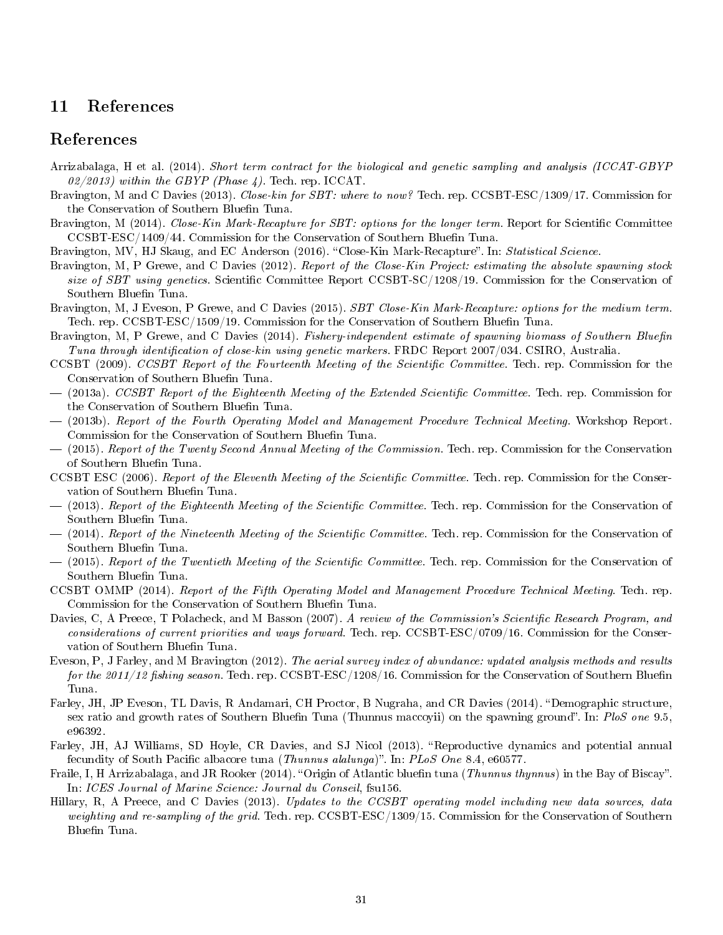# 11 References

## References

- Arrizabalaga, H et al. (2014). Short term contract for the biological and genetic sampling and analysis (ICCAT-GBYP 02/2013) within the GBYP (Phase 4). Tech. rep. ICCAT.
- Bravington, M and C Davies (2013). Close-kin for SBT: where to now? Tech. rep. CCSBT-ESC/1309/17. Commission for the Conservation of Southern Bluefin Tuna.
- Bravington, M (2014). Close-Kin Mark-Recapture for SBT: options for the longer term. Report for Scientific Committee  $CCSBT-ESC/1409/44$ . Commission for the Conservation of Southern Bluefin Tuna.
- Bravington, MV, HJ Skaug, and EC Anderson (2016). "Close-Kin Mark-Recapture". In: Statistical Science.
- Bravington, M, P Grewe, and C Davies (2012). Report of the Close-Kin Project: estimating the absolute spawning stock size of SBT using genetics. Scientific Committee Report CCSBT-SC/1208/19. Commission for the Conservation of Southern Bluefin Tuna.
- Bravington, M, J Eveson, P Grewe, and C Davies (2015). SBT Close-Kin Mark-Recapture: options for the medium term. Tech. rep. CCSBT-ESC/1509/19. Commission for the Conservation of Southern Bluefin Tuna.
- Bravington, M, P Grewe, and C Davies (2014). Fishery-independent estimate of spawning biomass of Southern Bluefin Tuna through identification of close-kin using genetic markers. FRDC Report  $2007/034$ . CSIRO, Australia.
- CCSBT (2009). CCSBT Report of the Fourteenth Meeting of the Scientific Committee. Tech. rep. Commission for the Conservation of Southern Bluefin Tuna.
- $-$  (2013a). CCSBT Report of the Eighteenth Meeting of the Extended Scientific Committee. Tech. rep. Commission for the Conservation of Southern Bluefin Tuna.
- (2013b). Report of the Fourth Operating Model and Management Procedure Technical Meeting. Workshop Report. Commission for the Conservation of Southern Bluefin Tuna.
- $-$  (2015). Report of the Twenty Second Annual Meeting of the Commission. Tech. rep. Commission for the Conservation of Southern Bluefin Tuna.
- CCSBT ESC (2006). Report of the Eleventh Meeting of the Scientific Committee. Tech. rep. Commission for the Conservation of Southern Bluefin Tuna.
- $-$  (2013). Report of the Eighteenth Meeting of the Scientific Committee. Tech. rep. Commission for the Conservation of Southern Bluefin Tuna.
- $-$  (2014). Report of the Nineteenth Meeting of the Scientific Committee. Tech. rep. Commission for the Conservation of Southern Bluefin Tuna.
- $-$  (2015). Report of the Twentieth Meeting of the Scientific Committee. Tech. rep. Commission for the Conservation of Southern Bluefin Tuna.
- CCSBT OMMP (2014). Report of the Fifth Operating Model and Management Procedure Technical Meeting. Tech. rep. Commission for the Conservation of Southern Bluefin Tuna.
- Davies, C, A Preece, T Polacheck, and M Basson (2007). A review of the Commission's Scientific Research Program, and considerations of current priorities and ways forward. Tech. rep. CCSBT-ESC/0709/16. Commission for the Conservation of Southern Bluefin Tuna.
- Eveson, P, J Farley, and M Bravington (2012). The aerial survey index of abundance: updated analysis methods and results for the 2011/12 fishing season. Tech. rep. CCSBT-ESC/1208/16. Commission for the Conservation of Southern Bluefin Tuna.
- Farley, JH, JP Eveson, TL Davis, R Andamari, CH Proctor, B Nugraha, and CR Davies (2014). "Demographic structure, sex ratio and growth rates of Southern Bluefin Tuna (Thunnus maccovii) on the spawning ground". In: PloS one 9.5, e96392.
- Farley, JH, AJ Williams, SD Hoyle, CR Davies, and SJ Nicol (2013). "Reproductive dynamics and potential annual fecundity of South Pacific albacore tuna (Thunnus alalunga)". In: PLoS One 8.4, e60577.
- Fraile, I, H Arrizabalaga, and JR Rooker (2014). "Origin of Atlantic bluefin tuna (Thunnus thynnus) in the Bay of Biscay". In: ICES Journal of Marine Science: Journal du Conseil, fsu156.
- Hillary, R, A Preece, and C Davies (2013). Updates to the CCSBT operating model including new data sources, data weighting and re-sampling of the grid. Tech. rep.  $\text{CCSBT-ESC}/1309/15$ . Commission for the Conservation of Southern Bluefin Tuna.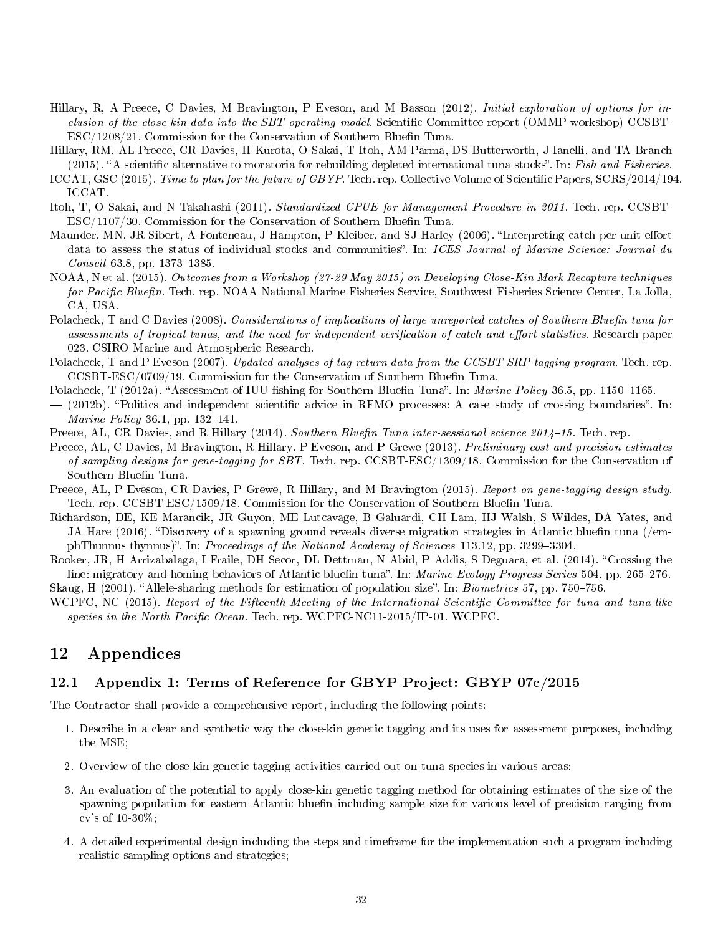- Hillary, R, A Preece, C Davies, M Bravington, P Eveson, and M Basson (2012). Initial exploration of options for inclusion of the close-kin data into the SBT operating model. Scientific Committee report (OMMP workshop) CCSBT- $ESC/1208/21$ . Commission for the Conservation of Southern Bluefin Tuna.
- Hillary, RM, AL Preece, CR Davies, H Kurota, O Sakai, T Itoh, AM Parma, DS Butterworth, J Ianelli, and TA Branch  $(2015)$ . "A scientific alternative to moratoria for rebuilding depleted international tuna stocks". In: Fish and Fisheries.
- ICCAT, GSC (2015). Time to plan for the future of GBYP. Tech. rep. Collective Volume of Scientific Papers, SCRS/2014/194. ICCAT.
- Itoh, T, O Sakai, and N Takahashi (2011). Standardized CPUE for Management Procedure in 2011. Tech. rep. CCSBT- $ESC/1107/30$ . Commission for the Conservation of Southern Bluefin Tuna.
- Maunder, MN, JR Sibert, A Fonteneau, J Hampton, P Kleiber, and SJ Harley (2006). "Interpreting catch per unit effort data to assess the status of individual stocks and communities". In: ICES Journal of Marine Science: Journal du  $\emph{Conseil } 63.8, \text{ pp. } 1373-1385.$
- NOAA, N et al. (2015). Outcomes from a Workshop (27-29 May 2015) on Developing Close-Kin Mark Recapture techniques for Pacific Bluefin. Tech. rep. NOAA National Marine Fisheries Service, Southwest Fisheries Science Center, La Jolla, CA, USA.
- Polacheck, T and C Davies (2008). Considerations of implications of large unreported catches of Southern Bluefin tuna for assessments of tropical tunas, and the need for independent verification of catch and effort statistics. Research paper 023. CSIRO Marine and Atmospheric Research.
- Polacheck, T and P Eveson (2007). Updated analyses of tag return data from the CCSBT SRP tagging program. Tech. rep. CCSBT-ESC/0709/19. Commission for the Conservation of Southern Bluefin Tuna.
- Polacheck, T (2012a). "Assessment of IUU fishing for Southern Bluefin Tuna". In: Marine Policy 36.5, pp. 1150–1165.
- $-$  (2012b). "Politics and independent scientific advice in RFMO processes: A case study of crossing boundaries". In: *Marine Policy* 36.1, pp.  $132-141$ .
- Preece, AL, CR Davies, and R Hillary (2014). Southern Bluefin Tuna inter-sessional science 2014–15. Tech. rep.
- Preece, AL, C Davies, M Bravington, R Hillary, P Eveson, and P Grewe (2013). Preliminary cost and precision estimates of sampling designs for gene-tagging for SBT. Tech. rep. CCSBT-ESC/1309/18. Commission for the Conservation of Southern Bluefin Tuna.
- Preece, AL, P Eveson, CR Davies, P Grewe, R Hillary, and M Bravington (2015). Report on gene-tagging design study. Tech. rep. CCSBT-ESC/1509/18. Commission for the Conservation of Southern Bluefin Tuna.
- Richardson, DE, KE Marancik, JR Guyon, ME Lutcavage, B Galuardi, CH Lam, HJ Walsh, S Wildes, DA Yates, and JA Hare (2016). "Discovery of a spawning ground reveals diverse migration strategies in Atlantic bluefin tuna (/emphThunnus thynnus)". In: Proceedings of the National Academy of Sciences 113.12, pp. 3299-3304.
- Rooker, JR, H Arrizabalaga, I Fraile, DH Secor, DL Dettman, N Abid, P Addis, S Deguara, et al. (2014). "Crossing the line: migratory and homing behaviors of Atlantic bluefin tuna". In: Marine Ecology Progress Series 504, pp. 265-276.

Skaug, H (2001). "Allele-sharing methods for estimation of population size". In: *Biometrics* 57, pp. 750–756.

WCPFC, NC (2015). Report of the Fifteenth Meeting of the International Scientific Committee for tuna and tuna-like species in the North Pacific Ocean. Tech. rep. WCPFC-NC11-2015/IP-01. WCPFC.

# 12 Appendices

### 12.1 Appendix 1: Terms of Reference for GBYP Project: GBYP 07c/2015

The Contractor shall provide a comprehensive report, including the following points:

- 1. Describe in a clear and synthetic way the close-kin genetic tagging and its uses for assessment purposes, including the MSE;
- 2. Overview of the close-kin genetic tagging activities carried out on tuna species in various areas;
- 3. An evaluation of the potential to apply close-kin genetic tagging method for obtaining estimates of the size of the spawning population for eastern Atlantic blue finite including sample size for various level of precision ranging from cv's of 10-30%;
- 4. A detailed experimental design including the steps and timeframe for the implementation such a program including realistic sampling options and strategies;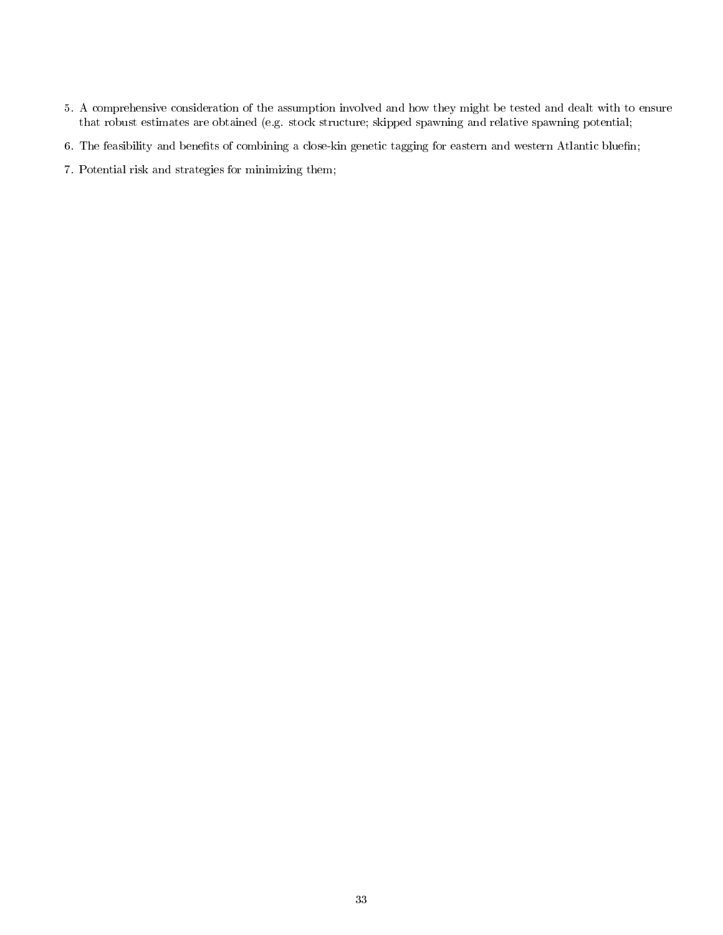- 5. A comprehensive consideration of the assumption involved and how they might be tested and dealt with to ensure that robust estimates are obtained (e.g. stock structure; skipped spawning and relative spawning potential;
- 6. The feasibility and benefits of combining a close-kin genetic tagging for eastern and western Atlantic bluefin;
- 7. Potential risk and strategies for minimizing them;